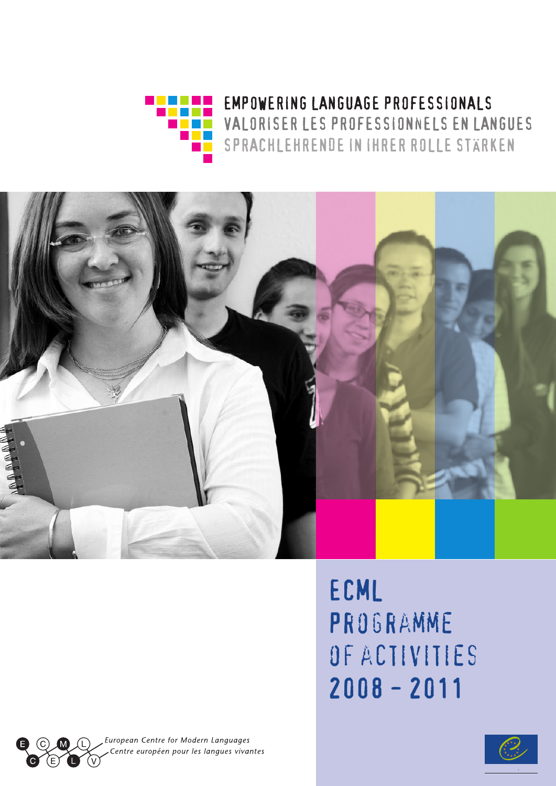



### ECML **PROGRAMME** of activities 2008 - 2011

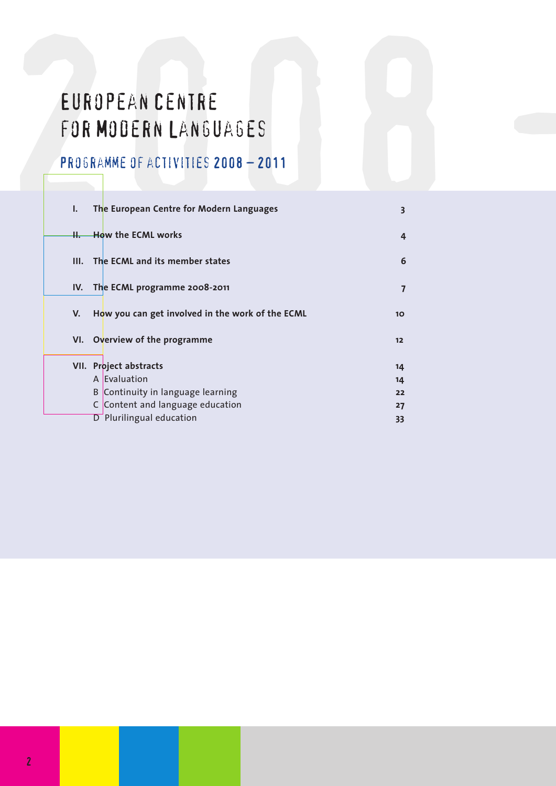# EUROPEAN CENTRE<br>FOR MODERN LANGUAGES<br>PROGRAMME OF ACTIVITIES 2008 - 2011 European Centre for Modern Languages

### Programme of activities 2008 – 2011

| I.   | The European Centre for Modern Languages         | 3               |
|------|--------------------------------------------------|-----------------|
| ╫.—  | <b>How the ECML works</b>                        | 4               |
| III. | The ECML and its member states                   | 6               |
| IV.  | The ECML programme 2008-2011                     |                 |
| V.   | How you can get involved in the work of the ECML | 10 <sup>2</sup> |
| VI.  | Overview of the programme                        | $12$            |
|      | VII. Project abstracts                           | 14              |
|      | A Evaluation                                     | 14              |
|      | B Continuity in language learning                | 22              |
|      | C Content and language education                 | 27              |
|      | Plurilingual education<br>D                      | 33              |
|      |                                                  |                 |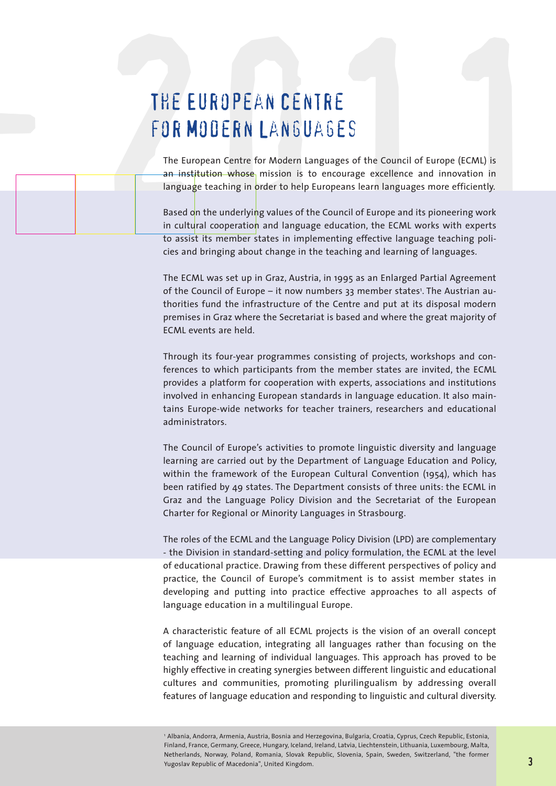### The European Centre for Modern Languages

-

THE EUROPEAN CENTRE<br>FOR MODERN LANGUAGES<br>The European Centre for Modern Languages of the Council of Europe (ECML) is<br>an institution-whose mission is to encourage excellence and innovation in<br>language teaching in order to h The European Centre for Modern Languages of the Council of Europe (ECML) is an institution whose mission is to encourage excellence and innovation in language teaching in order to help Europeans learn languages more efficiently.

Based on the underlying values of the Council of Europe and its pioneering work in cultural cooperation and language education, the ECML works with experts to assist its member states in implementing effective language teaching policies and bringing about change in the teaching and learning of languages.

The ECML was set up in Graz, Austria, in 1995 as an Enlarged Partial Agreement of the Council of Europe – it now numbers 33 member states<sup>1</sup>. The Austrian authorities fund the infrastructure of the Centre and put at its disposal modern premises in Graz where the Secretariat is based and where the great majority of ECML events are held.

Through its four-year programmes consisting of projects, workshops and conferences to which participants from the member states are invited, the ECML provides a platform for cooperation with experts, associations and institutions involved in enhancing European standards in language education. It also maintains Europe-wide networks for teacher trainers, researchers and educational administrators.

The Council of Europe's activities to promote linguistic diversity and language learning are carried out by the Department of Language Education and Policy, within the framework of the European Cultural Convention (1954), which has been ratified by 49 states. The Department consists of three units: the ECML in Graz and the Language Policy Division and the Secretariat of the European Charter for Regional or Minority Languages in Strasbourg.

The roles of the ECML and the Language Policy Division (LPD) are complementary - the Division in standard-setting and policy formulation, the ECML at the level of educational practice. Drawing from these different perspectives of policy and practice, the Council of Europe's commitment is to assist member states in developing and putting into practice effective approaches to all aspects of language education in a multilingual Europe.

A characteristic feature of all ECML projects is the vision of an overall concept of language education, integrating all languages rather than focusing on the teaching and learning of individual languages. This approach has proved to be highly effective in creating synergies between different linguistic and educational cultures and communities, promoting plurilingualism by addressing overall features of language education and responding to linguistic and cultural diversity.

<sup>1</sup> Albania, Andorra, Armenia, Austria, Bosnia and Herzegovina, Bulgaria, Croatia, Cyprus, Czech Republic, Estonia, Finland, France, Germany, Greece, Hungary, Iceland, Ireland, Latvia, Liechtenstein, Lithuania, Luxembourg, Malta, Netherlands, Norway, Poland, Romania, Slovak Republic, Slovenia, Spain, Sweden, Switzerland, "the former Yugoslav Republic of Macedonia", United Kingdom.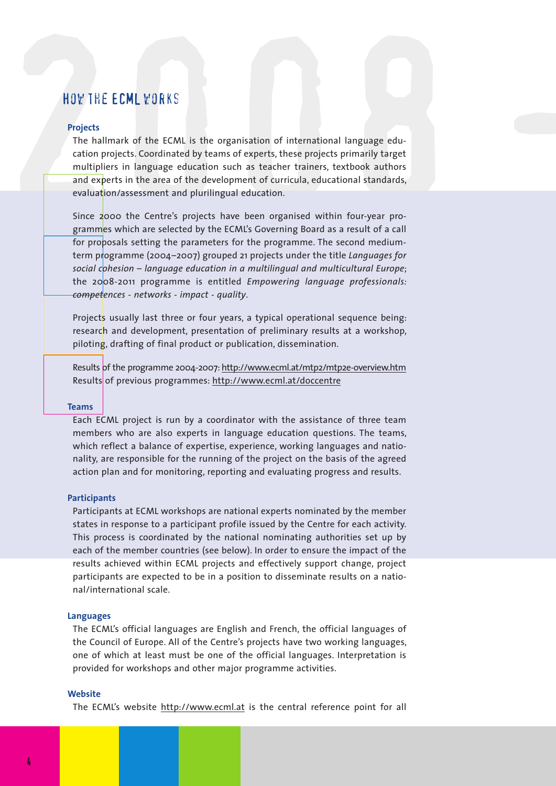#### How the ECML works

#### **Projects**

HOV THE ECML VORKS<br>Projects<br>The hallmark of the ECML is the organisation of international language edu-<br>The hallmark of the ECML is the organisation of international language edu-<br>cation projects. Coordinated by teams of e The hallmark of the ECML is the organisation of international language education projects. Coordinated by teams of experts, these projects primarily target multipliers in language education such as teacher trainers, textbook authors and experts in the area of the development of curricula, educational standards, evaluation/assessment and plurilingual education.

> Since 2000 the Centre's projects have been organised within four-year programmes which are selected by the ECML's Governing Board as a result of a call for proposals setting the parameters for the programme. The second mediumterm programme (2004–2007) grouped 21 projects under the title *Languages for social cohesion – language education in a multilingual and multicultural Europe*; the 2008-2011 programme is entitled *Empowering language professionals: competences - networks - impact - quality*.

> Projects usually last three or four years, a typical operational sequence being: research and development, presentation of preliminary results at a workshop, piloting, drafting of final product or publication, dissemination.

> Results of the programme 2004-2007: http://www.ecml.at/mtp2/mtp2e-overview.htm Results of previous programmes: http://www.ecml.at/doccentre

#### **Teams**

Each ECML project is run by a coordinator with the assistance of three team members who are also experts in language education questions. The teams, which reflect a balance of expertise, experience, working languages and nationality, are responsible for the running of the project on the basis of the agreed action plan and for monitoring, reporting and evaluating progress and results.

#### **Participants**

Participants at ECML workshops are national experts nominated by the member states in response to a participant profile issued by the Centre for each activity. This process is coordinated by the national nominating authorities set up by each of the member countries (see below). In order to ensure the impact of the results achieved within ECML projects and effectively support change, project participants are expected to be in a position to disseminate results on a national/international scale.

#### **Languages**

The ECML's official languages are English and French, the official languages of the Council of Europe. All of the Centre's projects have two working languages, one of which at least must be one of the official languages. Interpretation is provided for workshops and other major programme activities.

#### **Website**

The ECML's website http://www.ecml.at is the central reference point for all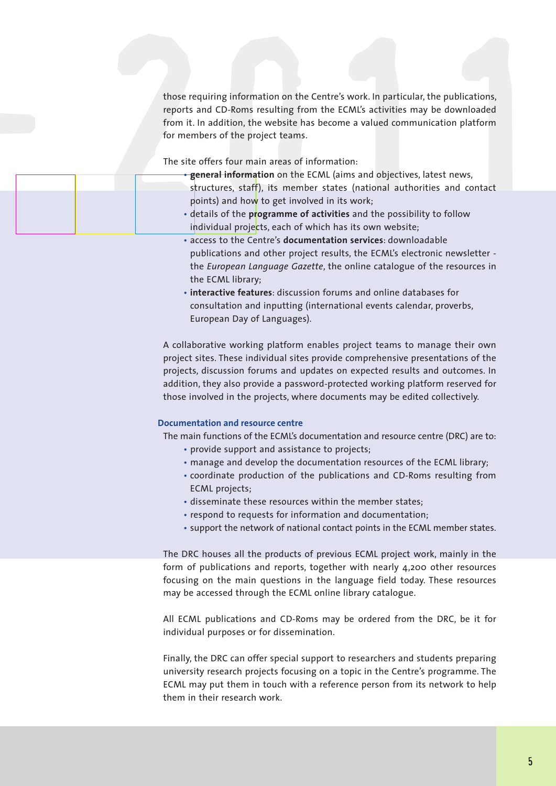those requiring information on the Centre's work. In particular, the publications, reports and CD-Roms resulting from the ECML's activities may be downloaded from it. In addition, the website has become a valued communication platform for members of the project teams.

The site offers four main areas of information:

-

- those requiring information on the Centre's work. In particular, the publications,<br>reports and CD-Roms resulting from the ECML's activities may be downloaded<br>from it. In addition, the website has become a valued communicat • **general information** on the ECML (aims and objectives, latest news, structures, staff), its member states (national authorities and contact points) and how to get involved in its work; • details of the **programme of activities** and the possibility to follow individual projects, each of which has its own website;
	- access to the Centre's **documentation services**: downloadable publications and other project results, the ECML's electronic newsletter the *European Language Gazette*, the online catalogue of the resources in the ECML library;
	- **interactive features**: discussion forums and online databases for consultation and inputting (international events calendar, proverbs, European Day of Languages).

A collaborative working platform enables project teams to manage their own project sites. These individual sites provide comprehensive presentations of the projects, discussion forums and updates on expected results and outcomes. In addition, they also provide a password-protected working platform reserved for those involved in the projects, where documents may be edited collectively.

#### **Documentation and resource centre**

The main functions of the ECML's documentation and resource centre (DRC) are to:

- provide support and assistance to projects;
- manage and develop the documentation resources of the ECML library;
- coordinate production of the publications and CD-Roms resulting from ECML projects;
- disseminate these resources within the member states;
- respond to requests for information and documentation;
- support the network of national contact points in the ECML member states.

The DRC houses all the products of previous ECML project work, mainly in the form of publications and reports, together with nearly 4,200 other resources focusing on the main questions in the language field today. These resources may be accessed through the ECML online library catalogue.

All ECML publications and CD-Roms may be ordered from the DRC, be it for individual purposes or for dissemination.

Finally, the DRC can offer special support to researchers and students preparing university research projects focusing on a topic in the Centre's programme. The ECML may put them in touch with a reference person from its network to help them in their research work.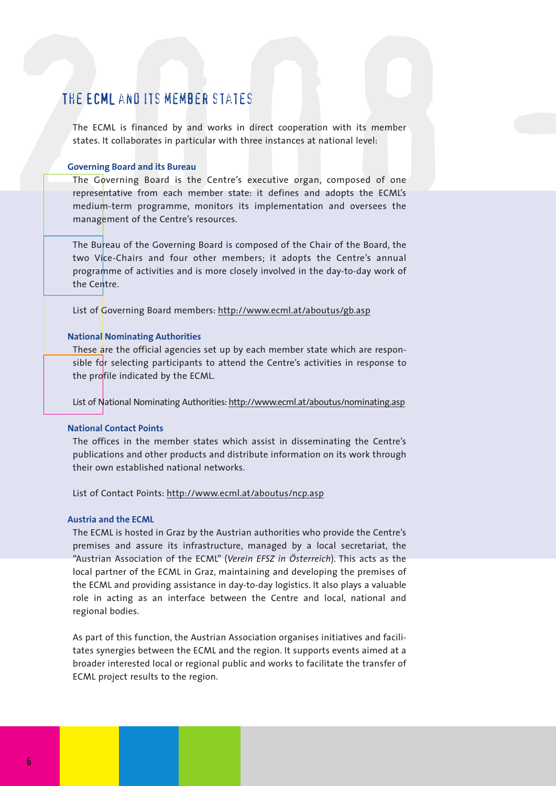#### The ECML and its member states

The ECML is financed by and works in direct cooperation with its member states. It collaborates in particular with three instances at national level:

#### **Governing Board and its Bureau**

THE ECML AND ITS MEMBER STATES<br>The ECML is financed by and works in direct cooperation with its member<br>states. It collaborates in particular with three instances at national level:<br>Governing Board and its Bureau<br>The Govern The Governing Board is the Centre's executive organ, composed of one representative from each member state: it defines and adopts the ECML's medium-term programme, monitors its implementation and oversees the management of the Centre's resources.

> The Bureau of the Governing Board is composed of the Chair of the Board, the two Vice-Chairs and four other members; it adopts the Centre's annual programme of activities and is more closely involved in the day-to-day work of the Centre.

List of Governing Board members: http://www.ecml.at/aboutus/gb.asp

#### **National Nominating Authorities**

These are the official agencies set up by each member state which are responsible for selecting participants to attend the Centre's activities in response to the profile indicated by the ECML.

List of National Nominating Authorities: http://www.ecml.at/aboutus/nominating.asp

#### **National Contact Points**

The offices in the member states which assist in disseminating the Centre's publications and other products and distribute information on its work through their own established national networks.

List of Contact Points: http://www.ecml.at/aboutus/ncp.asp

#### **Austria and the ECML**

The ECML is hosted in Graz by the Austrian authorities who provide the Centre's premises and assure its infrastructure, managed by a local secretariat, the "Austrian Association of the ECML" (*Verein EFSZ in Österreich*). This acts as the local partner of the ECML in Graz, maintaining and developing the premises of the ECML and providing assistance in day-to-day logistics. It also plays a valuable role in acting as an interface between the Centre and local, national and regional bodies.

As part of this function, the Austrian Association organises initiatives and facilitates synergies between the ECML and the region. It supports events aimed at a broader interested local or regional public and works to facilitate the transfer of ECML project results to the region.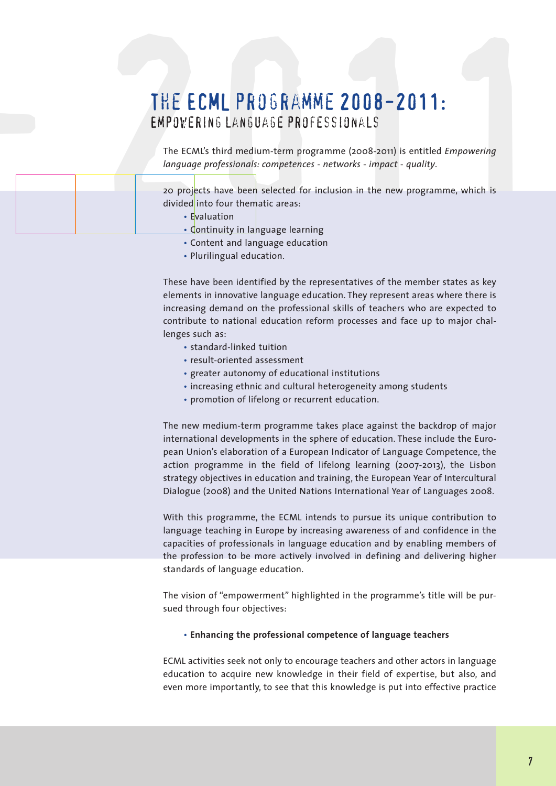# THE ECML PROGRAMME 2008-2011:<br>
EMPOVERING LANGUAGE PROFESSIONALS<br>
The ECML's third medium-term programme (2008-2011) is entitled *Empowering<br>
Imguage professionals: competences - networks - impact - quality.*<br>
20 projects The ECML programme 2008-2011: Empowering language professionals

The ECML's third medium-term programme (2008-2011) is entitled *Empowering language professionals: competences - networks - impact - quality*.

20 projects have been selected for inclusion in the new programme, which is divided into four thematic areas:

• Evaluation

-

- Continuity in language learning
- Content and language education
- Plurilingual education.

These have been identified by the representatives of the member states as key elements in innovative language education. They represent areas where there is increasing demand on the professional skills of teachers who are expected to contribute to national education reform processes and face up to major challenges such as:

- standard-linked tuition
- result-oriented assessment
- greater autonomy of educational institutions
- increasing ethnic and cultural heterogeneity among students
- promotion of lifelong or recurrent education.

The new medium-term programme takes place against the backdrop of major international developments in the sphere of education. These include the European Union's elaboration of a European Indicator of Language Competence, the action programme in the field of lifelong learning (2007-2013), the Lisbon strategy objectives in education and training, the European Year of Intercultural Dialogue (2008) and the United Nations International Year of Languages 2008.

With this programme, the ECML intends to pursue its unique contribution to language teaching in Europe by increasing awareness of and confidence in the capacities of professionals in language education and by enabling members of the profession to be more actively involved in defining and delivering higher standards of language education.

The vision of "empowerment" highlighted in the programme's title will be pursued through four objectives:

#### • **Enhancing the professional competence of language teachers**

ECML activities seek not only to encourage teachers and other actors in language education to acquire new knowledge in their field of expertise, but also, and even more importantly, to see that this knowledge is put into effective practice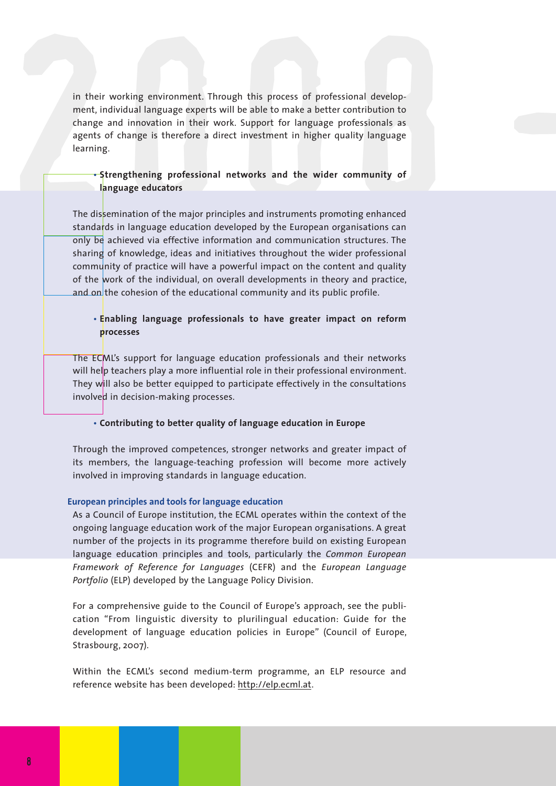in their working environment. Through this process of professional development, individual language experts will be able to make a better contribution to change and innovation in their work. Support for language profession in their working environment. Through this process of professional development, individual language experts will be able to make a better contribution to change and innovation in their work. Support for language professionals as agents of change is therefore a direct investment in higher quality language learning.

#### • **Strengthening professional networks and the wider community of language educators**

The dissemination of the major principles and instruments promoting enhanced standards in language education developed by the European organisations can only be achieved via effective information and communication structures. The sharing of knowledge, ideas and initiatives throughout the wider professional community of practice will have a powerful impact on the content and quality of the work of the individual, on overall developments in theory and practice, and on the cohesion of the educational community and its public profile.

#### • **Enabling language professionals to have greater impact on reform processes**

The ECML's support for language education professionals and their networks will help teachers play a more influential role in their professional environment. They will also be better equipped to participate effectively in the consultations involved in decision-making processes.

#### • **Contributing to better quality of language education in Europe**

Through the improved competences, stronger networks and greater impact of its members, the language-teaching profession will become more actively involved in improving standards in language education.

#### **European principles and tools for language education**

As a Council of Europe institution, the ECML operates within the context of the ongoing language education work of the major European organisations. A great number of the projects in its programme therefore build on existing European language education principles and tools, particularly the *Common European Framework of Reference for Languages* (CEFR) and the *European Language Portfolio* (ELP) developed by the Language Policy Division.

For a comprehensive guide to the Council of Europe's approach, see the publication "From linguistic diversity to plurilingual education: Guide for the development of language education policies in Europe" (Council of Europe, Strasbourg, 2007).

Within the ECML's second medium-term programme, an ELP resource and reference website has been developed: http://elp.ecml.at.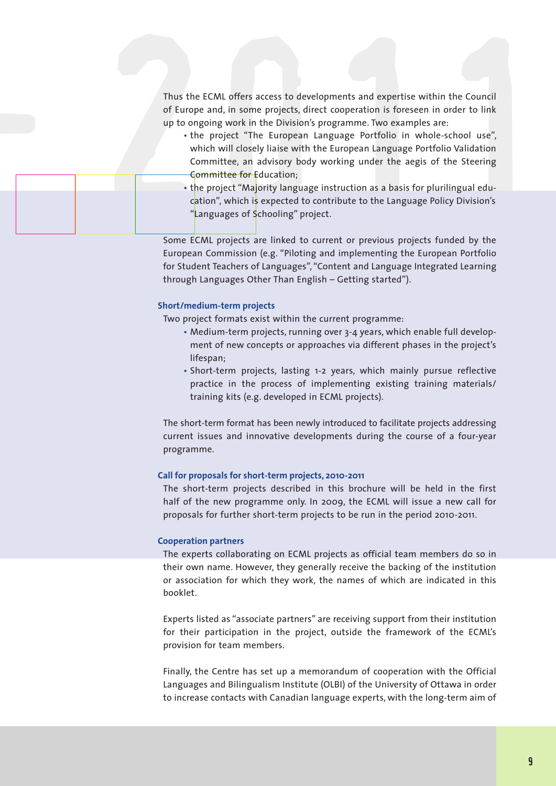Thus the ECML offers access to developments and expertise within the Council of Europe and, in some projects, direct cooperation is foreseen in order to link up to ongoing work in the Division's programme. Two examples are:

- Thus the ECML offers access to developments and expertise within the Council<br>of Europe and, in some projects, direct cooperation is foreseen in order to link<br>up to orgoing work in the Division's programme. Two examples are • the project "The European Language Portfolio in whole-school use", which will closely liaise with the European Language Portfolio Validation Committee, an advisory body working under the aegis of the Steering Committee for Education;
	- the project "Majority language instruction as a basis for plurilingual education", which is expected to contribute to the Language Policy Division's "Languages of Schooling" project.

Some ECML projects are linked to current or previous projects funded by the European Commission (e.g. "Piloting and implementing the European Portfolio for Student Teachers of Languages", "Content and Language Integrated Learning through Languages Other Than English – Getting started").

#### **Short/medium-term projects**

-

Two project formats exist within the current programme:

- Medium-term projects, running over 3-4 years, which enable full development of new concepts or approaches via different phases in the project's lifespan;
- Short-term projects, lasting 1-2 years, which mainly pursue reflective practice in the process of implementing existing training materials/ training kits (e.g. developed in ECML projects).

The short-term format has been newly introduced to facilitate projects addressing current issues and innovative developments during the course of a four-year programme.

#### **Call for proposals for short-term projects, 2010-2011**

The short-term projects described in this brochure will be held in the first half of the new programme only. In 2009, the ECML will issue a new call for proposals for further short-term projects to be run in the period 2010-2011.

#### **Cooperation partners**

The experts collaborating on ECML projects as official team members do so in their own name. However, they generally receive the backing of the institution or association for which they work, the names of which are indicated in this booklet.

Experts listed as "associate partners" are receiving support from their institution for their participation in the project, outside the framework of the ECML's provision for team members.

Finally, the Centre has set up a memorandum of cooperation with the Official Languages and Bilingualism Institute (OLBI) of the University of Ottawa in order to increase contacts with Canadian language experts, with the long-term aim of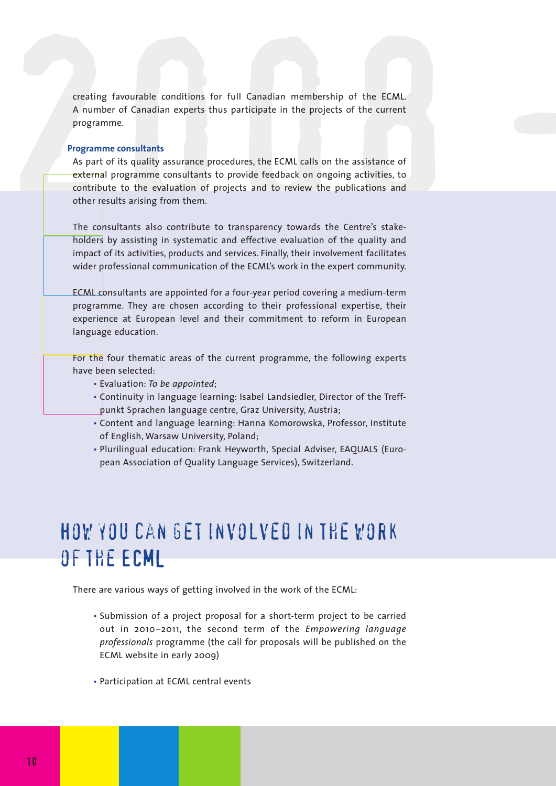creating favourable conditions for full Canadian membership of the ECML. A number of Canadian experts thus participate in the projects of the current programme.

#### **Programme consultants**

creating favourable conditions for full Canadian membership of the ECML.<br>A number of Canadian experts thus participate in the projects of the current<br>programme.<br>Programme consultants<br>As part of its quality assurance proced As part of its quality assurance procedures, the ECML calls on the assistance of external programme consultants to provide feedback on ongoing activities, to contribute to the evaluation of projects and to review the publications and other results arising from them.

> The consultants also contribute to transparency towards the Centre's stakeholders by assisting in systematic and effective evaluation of the quality and impact of its activities, products and services. Finally, their involvement facilitates wider professional communication of the ECML's work in the expert community.

> ECML consultants are appointed for a four-year period covering a medium-term programme. They are chosen according to their professional expertise, their experience at European level and their commitment to reform in European language education.

> For the four thematic areas of the current programme, the following experts have been selected:

- Evaluation: *To be appointed*;
- Continuity in language learning: Isabel Landsiedler, Director of the Treffpunkt Sprachen language centre, Graz University, Austria;
- Content and language learning: Hanna Komorowska, Professor, Institute of English, Warsaw University, Poland;
- Plurilingual education: Frank Heyworth, Special Adviser, EAQUALS (European Association of Quality Language Services), Switzerland.

### How you can getinvolved in the work of the ECML

There are various ways of getting involved in the work of the ECML:

- Submission of a project proposal for a short-term project to be carried out in 2010–2011, the second term of the *Empowering language professionals* programme (the call for proposals will be published on the ECML website in early 2009)
- Participation at ECML central events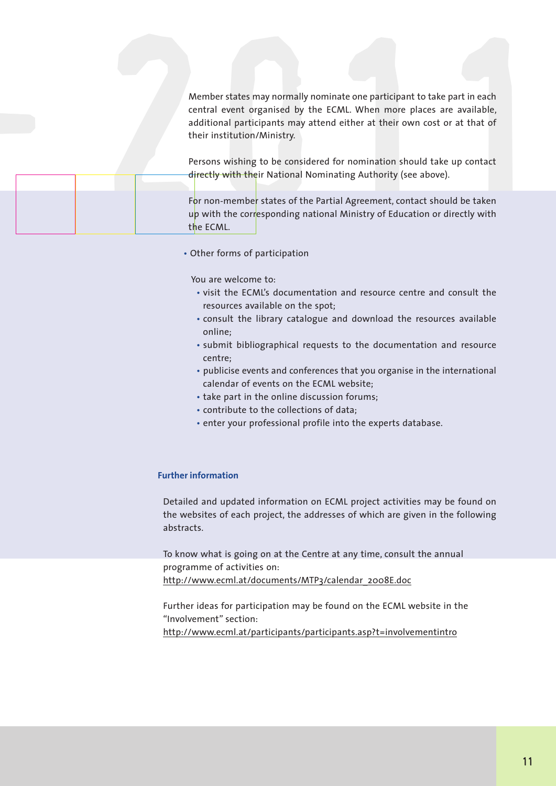Member states may normally nominate one participant to take part in each<br>central event organised by the ECML. When more places are available,<br>additional participants may attend either at their own cost or at that of<br>their Member states may normally nominate one participant to take part in each central event organised by the ECML. When more places are available, additional participants may attend either at their own cost or at that of their institution/Ministry.

| their institution/Ministry.<br>directly with their National Nominating Authority (see above).                                                                                                                                                                                                           |  |  |  |
|---------------------------------------------------------------------------------------------------------------------------------------------------------------------------------------------------------------------------------------------------------------------------------------------------------|--|--|--|
| Member states may normally nominate one participant to take part in each<br>central event organised by the ECML. When more places are available,<br>additional participants may attend either at their own cost or at that of<br>Persons wishing to be considered for nomination should take up contact |  |  |  |
|                                                                                                                                                                                                                                                                                                         |  |  |  |
|                                                                                                                                                                                                                                                                                                         |  |  |  |

• Other forms of participation

You are welcome to:

- visit the ECML's documentation and resource centre and consult the resources available on the spot;
- consult the library catalogue and download the resources available online;
- submit bibliographical requests to the documentation and resource centre;
- publicise events and conferences that you organise in the international calendar of events on the ECML website;
- take part in the online discussion forums;
- contribute to the collections of data;
- enter your professional profile into the experts database.

#### **Further information**

Detailed and updated information on ECML project activities may be found on the websites of each project, the addresses of which are given in the following abstracts.

To know what is going on at the Centre at any time, consult the annual programme of activities on: http://www.ecml.at/documents/MTP3/calendar\_2008E.doc

Further ideas for participation may be found on the ECML website in the "Involvement" section:

http://www.ecml.at/participants/participants.asp?t=involvementintro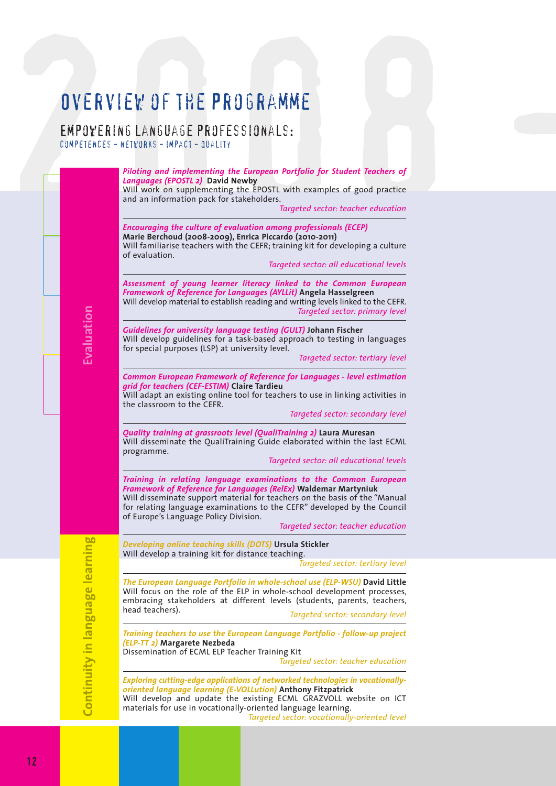### Overview of the Programme

Empowering language professionals: competences - networks - impact - quality

**Evalu atio n**

Continuity in language learning

 $\overline{O}$   $\overline{V}$   $\overline{E}$   $\overline{R}$   $\overline{V}$   $\overline{C}$   $\overline{C}$   $\overline{C}$   $\overline{C}$   $\overline{C}$   $\overline{C}$   $\overline{C}$   $\overline{C}$   $\overline{C}$   $\overline{C}$   $\overline{C}$   $\overline{C}$   $\overline{C}$   $\overline{C}$   $\overline{C}$   $\overline{C}$   $\overline{C}$   $\overline{C}$   $\overline{C}$   $\overline{$ *Piloting and implementing the European Portfolio for Student Teachers of Languages (EPOSTL 2)* **David Newby** Will work on supplementing the EPOSTL with examples of good practice and an information pack for stakeholders. *Targeted sector: teacher education Encouraging the culture of evaluation among professionals (ECEP)* **Marie Berchoud (2008-2009), Enrica Piccardo (2010-2011)** Will familiarise teachers with the CEFR; training kit for developing a culture of evaluation. *Targeted sector: all educational levels Assessment of young learner literacy linked to the Common European Framework of Reference for Languages (AYLLit)* **Angela Hasselgreen** Will develop material to establish reading and writing levels linked to the CEFR. *Targeted sector: primary level Guidelines for university language testing (GULT)* **Johann Fischer** Will develop guidelines for a task-based approach to testing in languages for special purposes (LSP) at university level. *Targeted sector: tertiary level Common European Framework of Reference for Languages - level estimation grid for teachers (CEF-ESTIM)* **Claire Tardieu** Will adapt an existing online tool for teachers to use in linking activities in the classroom to the CEFR. *Targeted sector: secondary level Quality training at grassroots level (QualiTraining 2)* **Laura Muresan** Will disseminate the QualiTraining Guide elaborated within the last ECML programme. *Targeted sector: all educational levels Training in relating language examinations to the Common European Framework of Reference for Languages (RelEx)* **Waldemar Martyniuk** Will disseminate support material for teachers on the basis of the "Manual for relating language examinations to the CEFR" developed by the Council of Europe's Language Policy Division. *Targeted sector: teacher education Developing online teaching skills (DOTS)* **Ursula Stickler** Will develop a training kit for distance teaching. *Targeted sector: tertiary level The European Language Portfolio in whole-school use (ELP-WSU)* **David Little** Will focus on the role of the ELP in whole-school development processes, embracing stakeholders at different levels (students, parents, teachers, head teachers). **Targeted sector: secondary level** *Training teachers to use the European Language Portfolio - follow-up project (ELP-TT 2)* **Margarete Nezbeda** Dissemination of ECML ELP Teacher Training Kit *Targeted sector: teacher education*

> *Exploring cutting-edge applications of networked technologies in vocationallyoriented language learning (E-VOLLution)* **Anthony Fitzpatrick** Will develop and update the existing ECML GRAZVOLL website on ICT materials for use in vocationally-oriented language learning. *Targeted sector: vocationally-oriented level*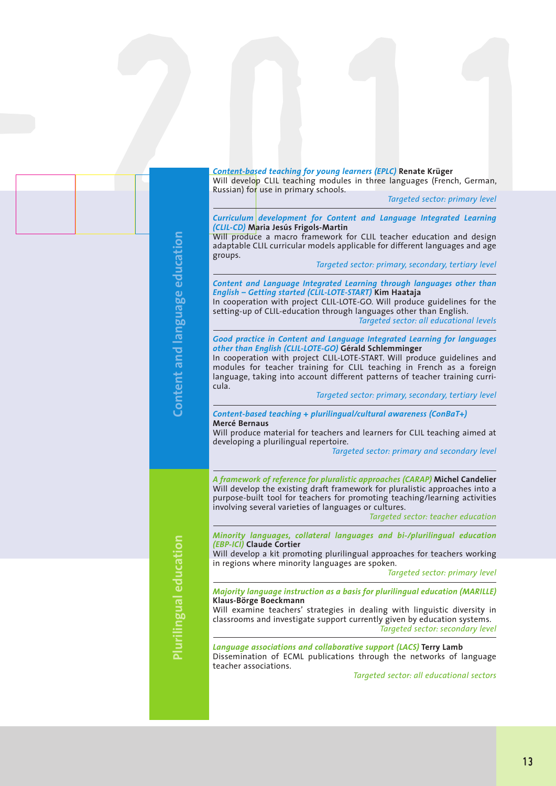|                              | <b>Content-based teaching for young learners (EPLC) Renate Krüger</b><br>Will develop CLIL teaching modules in three languages (French, German,                                                                                                                                                                                                                                       |
|------------------------------|---------------------------------------------------------------------------------------------------------------------------------------------------------------------------------------------------------------------------------------------------------------------------------------------------------------------------------------------------------------------------------------|
|                              | Russian) for use in primary schools.<br>Targeted sector: primary level                                                                                                                                                                                                                                                                                                                |
|                              | Curriculum development for Content and Language Integrated Learning<br>(CLIL-CD) Maria Jesús Frigols-Martin<br>Will produce a macro framework for CLIL teacher education and design<br>adaptable CLIL curricular models applicable for different languages and age<br>groups.                                                                                                         |
| ntent and language education | Targeted sector: primary, secondary, tertiary level<br>Content and Language Integrated Learning through languages other than<br>English - Getting started (CLIL-LOTE-START) Kim Haataja<br>In cooperation with project CLIL-LOTE-GO. Will produce guidelines for the<br>setting-up of CLIL-education through languages other than English.<br>Targeted sector: all educational levels |
|                              | Good practice in Content and Language Integrated Learning for languages<br>other than English (CLIL-LOTE-GO) Gérald Schlemminger<br>In cooperation with project CLIL-LOTE-START. Will produce guidelines and<br>modules for teacher training for CLIL teaching in French as a foreign<br>language, taking into account different patterns of teacher training curri-<br>cula.         |
| <u>င</u>                     | Targeted sector: primary, secondary, tertiary level<br>Content-based teaching + plurilingual/cultural awareness (ConBaT+)<br>Mercé Bernaus<br>Will produce material for teachers and learners for CLIL teaching aimed at<br>developing a plurilingual repertoire.<br>Targeted sector: primary and secondary level                                                                     |
|                              | A framework of reference for pluralistic approaches (CARAP) Michel Candelier<br>Will develop the existing draft framework for pluralistic approaches into a<br>purpose-built tool for teachers for promoting teaching/learning activities<br>involving several varieties of languages or cultures.<br>Targeted sector: teacher education                                              |
|                              | Minority languages, collateral languages and bi-/plurilingual education<br>(EBP-ICI) Claude Cortier<br>Will develop a kit promoting plurilingual approaches for teachers working                                                                                                                                                                                                      |
|                              | in regions where minority languages are spoken.<br>Targeted sector: primary level                                                                                                                                                                                                                                                                                                     |
| Plurilingual education       | Majority language instruction as a basis for plurilingual education (MARILLE)<br>Klaus-Börge Boeckmann<br>Will examine teachers' strategies in dealing with linguistic diversity in<br>classrooms and investigate support currently given by education systems.<br>Targeted sector: secondary level                                                                                   |
|                              | Language associations and collaborative support (LACS) Terry Lamb<br>Dissemination of ECML publications through the networks of language<br>teacher associations.<br>Targeted sector: all educational sectors                                                                                                                                                                         |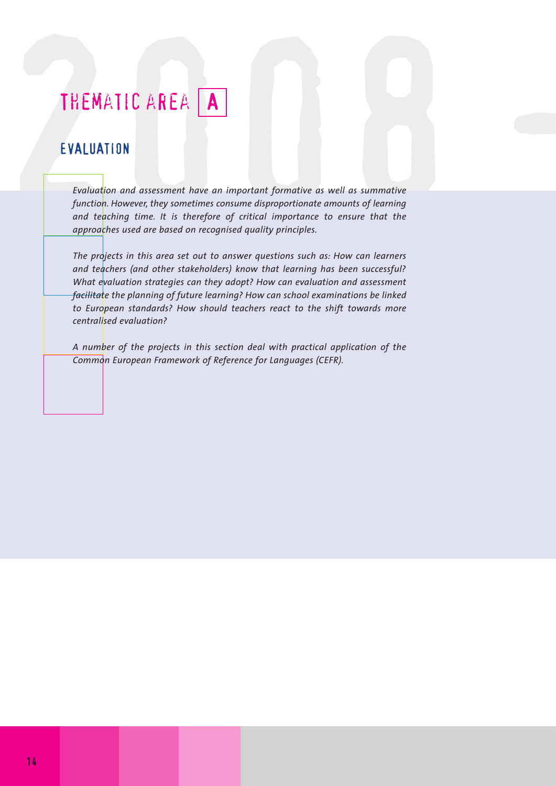### THEMATIC AREA A

#### EVALUATION

THEMATIC AREA **A**<br>EVALUATION<br>Evaluation and assessment have an important formative as well as summative<br>function. However, they sometimes consume disproportionate amounts of learning *Evaluation and assessment have an important formative as well as summative function. However, they sometimes consume disproportionate amounts of learning and teaching time. It is therefore of critical importance to ensure that the approaches used are based on recognised quality principles.*

> *The projects in this area set out to answer questions such as: How can learners and teachers (and other stakeholders) know that learning has been successful? What evaluation strategies can they adopt? How can evaluation and assessment facilitate the planning of future learning? How can school examinations be linked to European standards? How should teachers react to the shift towards more centralised evaluation?*

> *A number of the projects in this section deal with practical application of the Common European Framework of Reference for Languages (CEFR).*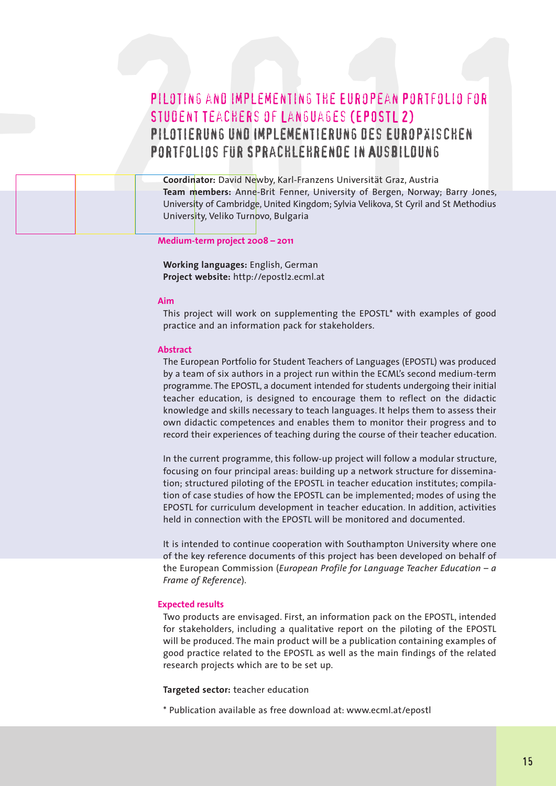# PILDTING AND IMPLEMENTING THE EUROPEAN PORTFOLIO FOR<br>STUDENT TEACHERS OF LANGUAGES (EPOSTL 2)<br>PILOTIERUNG UND IMPLEMENTIERUNG DES EUROPAISCHEN<br>PORTFOLIOS FUR SPRACHLEHRENDE IN AUSBILDUNG<br>Coordinator: David Newby, Karl-Fran Piloting and implementing the European Portfolio for Student Teachers of Languages (EPOSTL 2) Pilotierung und Implementierung des Europäischen PORTFOLIOS FÜR SPRACHLEHRENDE IN AUSBILDUNG

**Coordinator:** David Newby, Karl-Franzens Universität Graz, Austria **Team members:** Anne-Brit Fenner, University of Bergen, Norway; Barry Jones, University of Cambridge, United Kingdom; Sylvia Velikova, St Cyril and St Methodius University, Veliko Turnovo, Bulgaria

**Medium-term project 2008 – 2011**

**Working languages:** English, German **Project website:** http://epostl2.ecml.at

#### **Aim**

2008 -

This project will work on supplementing the EPOSTL\* with examples of good practice and an information pack for stakeholders.

#### **Abstract**

The European Portfolio for Student Teachers of Languages (EPOSTL) was produced by a team of six authors in a project run within the ECML's second medium-term programme. The EPOSTL, a document intended for students undergoing their initial teacher education, is designed to encourage them to reflect on the didactic knowledge and skills necessary to teach languages. It helps them to assess their own didactic competences and enables them to monitor their progress and to record their experiences of teaching during the course of their teacher education.

In the current programme, this follow-up project will follow a modular structure, focusing on four principal areas: building up a network structure for dissemination; structured piloting of the EPOSTL in teacher education institutes; compilation of case studies of how the EPOSTL can be implemented; modes of using the EPOSTL for curriculum development in teacher education. In addition, activities held in connection with the FPOSTL will be monitored and documented

It is intended to continue cooperation with Southampton University where one of the key reference documents of this project has been developed on behalf of the European Commission (*European Profile for Language Teacher Education – a Frame of Reference*).

#### **Expected results**

Two products are envisaged. First, an information pack on the EPOSTL, intended for stakeholders, including a qualitative report on the piloting of the EPOSTL will be produced. The main product will be a publication containing examples of good practice related to the EPOSTL as well as the main findings of the related research projects which are to be set up.

#### **Targeted sector:** teacher education

\* Publication available as free download at: www.ecml.at/epostl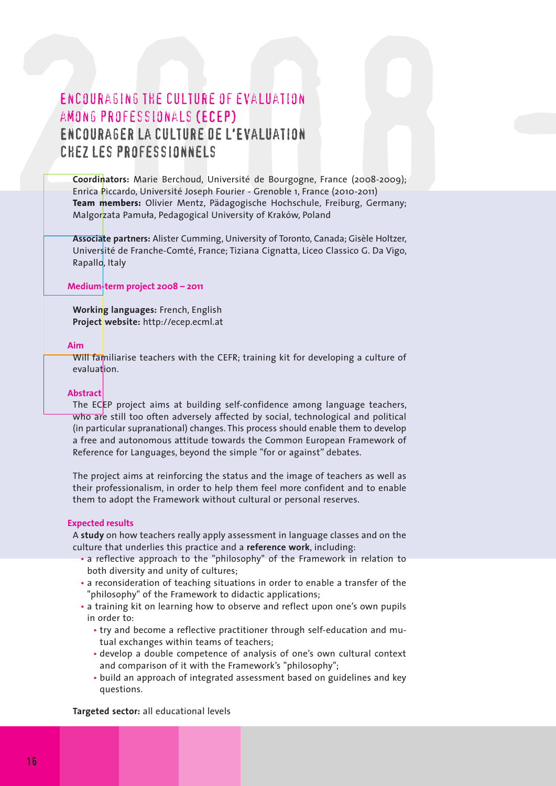# ENCOURAGING THE CULTURE OF EVALUATION<br>
AMONG PROFESSIONALS (ECEP)<br>
ENCOURAGER LA CULTURE DE L'EVALUATION<br>
CHEZ LES PROFESSIONNELS<br>
Coordinators: Marie Berchoud, Université de Bourgogne, France (2008-2009);<br>
Entra Piccardo, Encouraging the culture of evaluation among professionals (ECEP) Encourager la culture de l'Evaluation chez les professionnels

**Coordinators:** Marie Berchoud, Université de Bourgogne, France (2008-2009); Enrica Piccardo, Université Joseph Fourier - Grenoble 1, France (2010-2011) **Team members:** Olivier Mentz, Pädagogische Hochschule, Freiburg, Germany; Malgorzata Pamula, Pedagogical University of Kraków, Poland

**Associate partners:** Alister Cumming, University of Toronto, Canada; Gisèle Holtzer, Université de Franche-Comté, France; Tiziana Cignatta, Liceo Classico G. Da Vigo, Rapallo, Italy

#### **Medium-term project 2008 – 2011**

**Working languages:** French, English **Project website:** http://ecep.ecml.at

#### **Aim**

Will familiarise teachers with the CEFR; training kit for developing a culture of evaluation.

#### **Abstract**

The ECEP project aims at building self-confidence among language teachers, who are still too often adversely affected by social, technological and political (in particular supranational) changes. This process should enable them to develop a free and autonomous attitude towards the Common European Framework of Reference for Languages, beyond the simple "for or against" debates.

The project aims at reinforcing the status and the image of teachers as well as their professionalism, in order to help them feel more confident and to enable them to adopt the Framework without cultural or personal reserves.

#### **Expected results**

A **study** on how teachers really apply assessment in language classes and on the culture that underlies this practice and a **reference work**, including:

- a reflective approach to the "philosophy" of the Framework in relation to both diversity and unity of cultures;
- a reconsideration of teaching situations in order to enable a transfer of the "philosophy" of the Framework to didactic applications;
- a training kit on learning how to observe and reflect upon one's own pupils in order to:
	- try and become a reflective practitioner through self-education and mutual exchanges within teams of teachers;
	- develop a double competence of analysis of one's own cultural context and comparison of it with the Framework's "philosophy";
	- build an approach of integrated assessment based on guidelines and key questions.

**Targeted sector:** all educational levels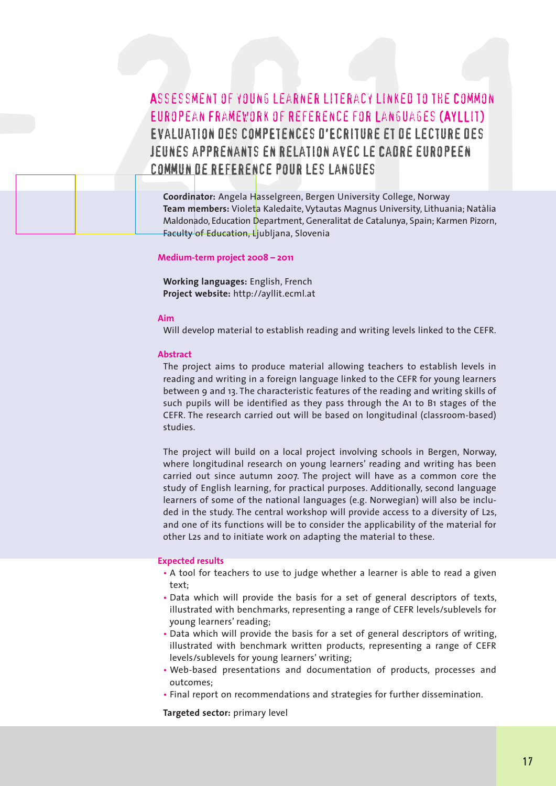### ASSESSMENT OF YOUNG LEARNER LITERACY LINKED TO THE COMMON<br>EUROPEAN FRAMEWORK OF REFERENCE FOR LANGUAGES (AYLLIT)<br>EVALUATION DES COMPETENCES O'ECRITURE ET DE LECTURE DES<br>JEUNES APPRENANTS EN RELATION AVEC LE CADRE EUROPEEN<br> Assessment of young learner literacy linked to the Common European Framework of Reference for Languages (AYLLit) Evaluation des compEtences d'Ecriture et de lecture des JEUNES APPRENANTS EN RELATION AVEC LE CADRE EUROPEEN commun de rEfErence pour les langues

**Coordinator:** Angela Hasselgreen, Bergen University College, Norway **Team members:** Violeta Kaledaite, Vytautas Magnus University, Lithuania; Natàlia Maldonado, Education Department, Generalitat de Catalunya, Spain; Karmen Pizorn, Faculty of Education, Ljubljana, Slovenia

#### **Medium-term project 2008 – 2011**

**Working languages:** English, French **Project website:** http://ayllit.ecml.at

#### **Aim**

2008 -

Will develop material to establish reading and writing levels linked to the CEFR.

#### **Abstract**

The project aims to produce material allowing teachers to establish levels in reading and writing in a foreign language linked to the CEFR for young learners between 9 and 13. The characteristic features of the reading and writing skills of such pupils will be identified as they pass through the A1 to B1 stages of the CEFR. The research carried out will be based on longitudinal (classroom-based) studies.

The project will build on a local project involving schools in Bergen, Norway, where longitudinal research on young learners' reading and writing has been carried out since autumn 2007. The project will have as a common core the study of English learning, for practical purposes. Additionally, second language learners of some of the national languages (e.g. Norwegian) will also be included in the study. The central workshop will provide access to a diversity of L2s, and one of its functions will be to consider the applicability of the material for other L2s and to initiate work on adapting the material to these.

#### **Expected results**

- A tool for teachers to use to judge whether a learner is able to read a given text;
- Data which will provide the basis for a set of general descriptors of texts, illustrated with benchmarks, representing a range of CEFR levels/sublevels for young learners' reading;
- Data which will provide the basis for a set of general descriptors of writing, illustrated with benchmark written products, representing a range of CEFR levels/sublevels for young learners' writing;
- Web-based presentations and documentation of products, processes and outcomes;
- Final report on recommendations and strategies for further dissemination.

**Targeted sector:** primary level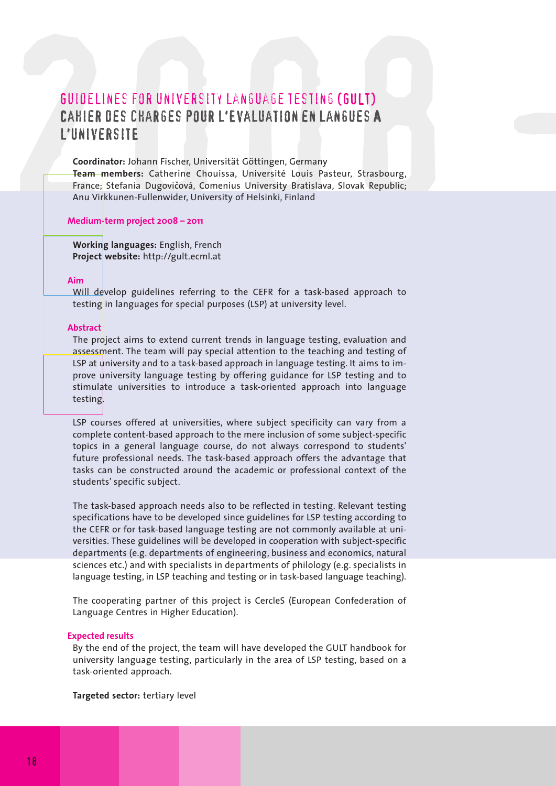# **GUIDÉLINES FOR UNIVERSITY LANGUAGE TESTING (GULT)**<br>CAHIER DES CHARGES POUR L'EVALUATION EN LANGUES A<br>L'UNIVERSITE<br>Coordinator: Johann Fischer, Universität Göttingen, Germany<br>Teame members: Catherine Chouissa, Université L Guidelines for university language testing (GULT) Cahier des charges pour l'Evaluation en langues A l'universitE

**Coordinator:** Johann Fischer, Universität Göttingen, Germany **Team members:** Catherine Chouissa, Université Louis Pasteur, Strasbourg, France;<mark></mark> Stefania Dugovičová, Comenius University Bratislava, Slovak Republic; Anu Virkkunen-Fullenwider, University of Helsinki, Finland

#### **Medium-term project 2008 – 2011**

**Working languages:** English, French **Project website:** http://gult.ecml.at

#### **Aim**

Will develop guidelines referring to the CEFR for a task-based approach to testing in languages for special purposes (LSP) at university level.

#### **Abstract**

The project aims to extend current trends in language testing, evaluation and assessment. The team will pay special attention to the teaching and testing of LSP at university and to a task-based approach in language testing. It aims to improve university language testing by offering guidance for LSP testing and to stimulate universities to introduce a task-oriented approach into language testing.

LSP courses offered at universities, where subject specificity can vary from a complete content-based approach to the mere inclusion of some subject-specific topics in a general language course, do not always correspond to students' future professional needs. The task-based approach offers the advantage that tasks can be constructed around the academic or professional context of the students' specific subject.

The task-based approach needs also to be reflected in testing. Relevant testing specifications have to be developed since guidelines for LSP testing according to the CEFR or for task-based language testing are not commonly available at universities. These guidelines will be developed in cooperation with subject-specific departments (e.g. departments of engineering, business and economics, natural sciences etc.) and with specialists in departments of philology (e.g. specialists in language testing, in LSP teaching and testing or in task-based language teaching).

The cooperating partner of this project is CercleS (European Confederation of Language Centres in Higher Education).

#### **Expected results**

By the end of the project, the team will have developed the GULT handbook for university language testing, particularly in the area of LSP testing, based on a task-oriented approach.

**Targeted sector:** tertiary level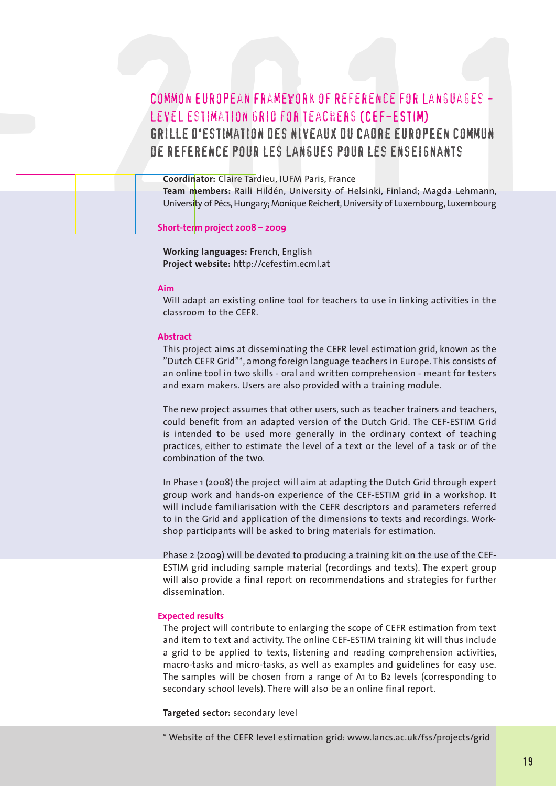# COMMON EUROPEAN FRAMEVORK OF REFERENCE FOR LANGUAGES<br>
LEVEL ESTIMATION GRIO FOR TEACHERS (CEF-ESTIM)<br>
GRILLE O'ESTIMATION DES NIVEAUX OU CAORE EUROPEEN COMMUN<br>
DE REFERENCE POUR LES LANGUES POUR LES ENSEIGNANTS<br>
Coordinato Common European Framework of Reference for Languages level estimation grid for teachers (CEF-ESTIM) Grille d'estimation des niveaux du Cadre europEen commun de rEfErence pour les langues pour les enseignants

**Coordinator:** Claire Tardieu, IUFM Paris, France **Team members:** Raili Hildén, University of Helsinki, Finland; Magda Lehmann, University of Pécs, Hungary; Monique Reichert, University of Luxembourg, Luxembourg **Short-term project 2008 – 2009** 2008 -

> **Working languages:** French, English **Project website:** http://cefestim.ecml.at

#### **Aim**

Will adapt an existing online tool for teachers to use in linking activities in the classroom to the CEFR.

#### **Abstract**

This project aims at disseminating the CEFR level estimation grid, known as the "Dutch CEFR Grid"\*, among foreign language teachers in Europe. This consists of an online tool in two skills - oral and written comprehension - meant for testers and exam makers. Users are also provided with a training module.

The new project assumes that other users, such as teacher trainers and teachers, could benefit from an adapted version of the Dutch Grid. The CEF-ESTIM Grid is intended to be used more generally in the ordinary context of teaching practices, either to estimate the level of a text or the level of a task or of the combination of the two.

In Phase 1 (2008) the project will aim at adapting the Dutch Grid through expert group work and hands-on experience of the CEF-ESTIM grid in a workshop. It will include familiarisation with the CEFR descriptors and parameters referred to in the Grid and application of the dimensions to texts and recordings. Workshop participants will be asked to bring materials for estimation.

Phase 2 (2009) will be devoted to producing a training kit on the use of the CEF-ESTIM grid including sample material (recordings and texts). The expert group will also provide a final report on recommendations and strategies for further dissemination.

#### **Expected results**

The project will contribute to enlarging the scope of CEFR estimation from text and item to text and activity. The online CEF-ESTIM training kit will thus include a grid to be applied to texts, listening and reading comprehension activities, macro-tasks and micro-tasks, as well as examples and guidelines for easy use. The samples will be chosen from a range of A1 to B2 levels (corresponding to secondary school levels). There will also be an online final report.

**Targeted sector:** secondary level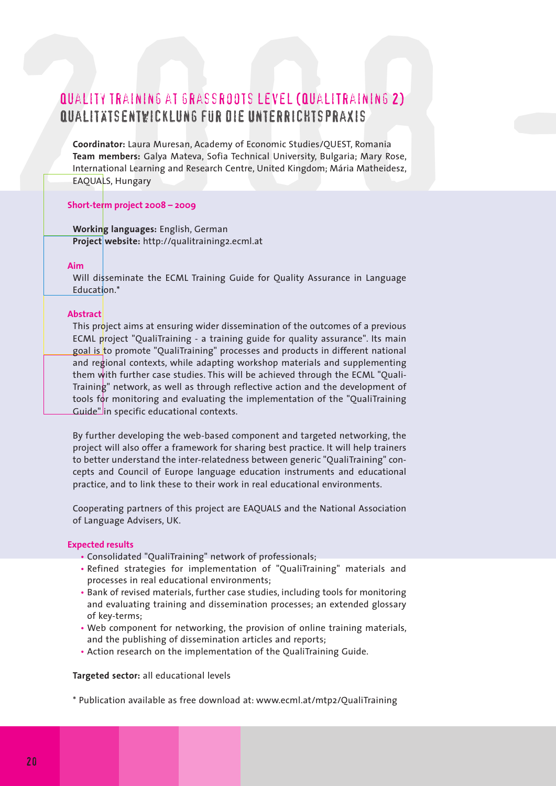#### Quality training at grassroots level (QualiTraining 2) Qualitätsentwicklung für die Unterrichtspraxis

**QUALITY TRAINING AT GRASSROOTS LEVEL (QUALITRAINING 2)<br>
QUALITY TRAINING AT GRASSROOTS LEVEL (QUALITRAINING 2)<br>
QUALITY SENTWICKLUNG FUR DIE UNTERRICHTS PRAXIS<br>
Coordinator: Laura Muresan, Academy of Economic Studies/QUES Coordinator:** Laura Muresan, Academy of Economic Studies/QUEST, Romania **Team members:** Galya Mateva, Sofia Technical University, Bulgaria; Mary Rose, International Learning and Research Centre, United Kingdom; Mária Matheidesz, EAQUALS, Hungary

#### **Short-term project 2008 – 2009**

**Working languages:** English, German **Project website:** http://qualitraining2.ecml.at

#### **Aim**

Will disseminate the ECML Training Guide for Quality Assurance in Language Education.\*

#### **Abstract**

This project aims at ensuring wider dissemination of the outcomes of a previous ECML project "QualiTraining - a training guide for quality assurance". Its main goal is to promote "QualiTraining" processes and products in different national and regional contexts, while adapting workshop materials and supplementing them with further case studies. This will be achieved through the ECML "Quali-Training" network, as well as through reflective action and the development of tools for monitoring and evaluating the implementation of the "QualiTraining Guide" in specific educational contexts.

By further developing the web-based component and targeted networking, the project will also offer a framework for sharing best practice. It will help trainers to better understand the inter-relatedness between generic "QualiTraining" concepts and Council of Europe language education instruments and educational practice, and to link these to their work in real educational environments.

Cooperating partners of this project are EAQUALS and the National Association of Language Advisers, UK.

#### **Expected results**

- Consolidated "QualiTraining" network of professionals;
- Refined strategies for implementation of "QualiTraining" materials and processes in real educational environments;
- Bank of revised materials, further case studies, including tools for monitoring and evaluating training and dissemination processes; an extended glossary of key-terms;
- Web component for networking, the provision of online training materials, and the publishing of dissemination articles and reports;
- Action research on the implementation of the QualiTraining Guide.

#### **Targeted sector:** all educational levels

\* Publication available as free download at: www.ecml.at/mtp2/QualiTraining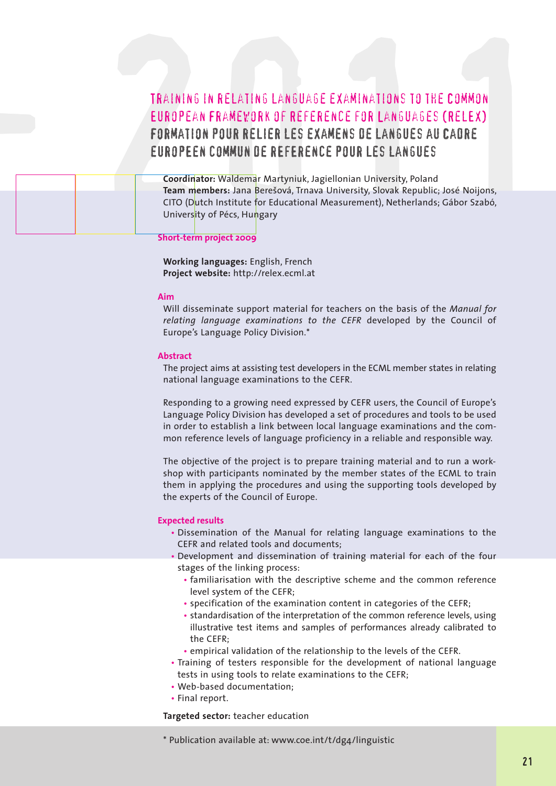### TRAINING IN RELATING LANGUAGE EXAMINATIONS TO THE COMMON<br>EUROPEAN FRAMEWORK OF REFERENCE FOR LANGUAGES (RELEX)<br>FORMATION POUR RELIER LES EXAMENS DE LANGUAGES (RELEX)<br>FORMATION POUR RELIER LES EXAMENS DE LANGUES AU CAORE<br>EU Training in relating language examinations to the Common European Framework of Reference for Languages (RelEx) Formation pour relier les examens de langues au Cadre europEen commun de rEfErence pour les langues TRAINING IN RELATING L<br>EUROPEAN FRAMEWORK

**Coordinator:** Waldemar Martyniuk, Jagiellonian University, Poland **Team members:** Jana Beresová, Trnava University, Slovak Republic; José Noijons, CITO (Dutch Institute for Educational Measurement), Netherlands; Gábor Szabó, University of Pécs, Hungary

#### **Short-term project 2009**

**Working languages:** English, French **Project website:** http://relex.ecml.at

#### **Aim**

Will disseminate support material for teachers on the basis of the *Manual for relating language examinations to the CEFR* developed by the Council of Europe's Language Policy Division.\*

#### **Abstract**

The project aims at assisting test developers in the ECML member states in relating national language examinations to the CEFR.

Responding to a growing need expressed by CEFR users, the Council of Europe's Language Policy Division has developed a set of procedures and tools to be used in order to establish a link between local language examinations and the common reference levels of language proficiency in a reliable and responsible way.

The objective of the project is to prepare training material and to run a workshop with participants nominated by the member states of the ECML to train them in applying the procedures and using the supporting tools developed by the experts of the Council of Europe.

#### **Expected results**

- Dissemination of the Manual for relating language examinations to the CEFR and related tools and documents;
- Development and dissemination of training material for each of the four stages of the linking process:
	- familiarisation with the descriptive scheme and the common reference level system of the CEFR;
	- specification of the examination content in categories of the CEFR;
	- standardisation of the interpretation of the common reference levels, using illustrative test items and samples of performances already calibrated to the CEFR;
	- empirical validation of the relationship to the levels of the CEFR.
- Training of testers responsible for the development of national language tests in using tools to relate examinations to the CEFR;
- Web-based documentation;
- Final report.

**Targeted sector:** teacher education

\* Publication available at: www.coe.int/t/dg4/linguistic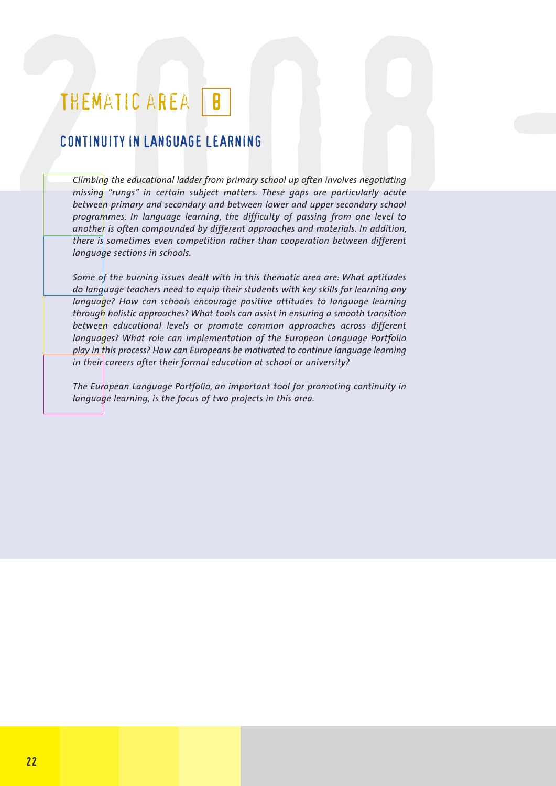### THEMATIC AREA B

#### CONTINUITY IN LANGUAGE LEARNING

THEMATIC AREA **B**<br> **CONTINUITY IN LANGUAGE LEARNING**<br> **CONTINUITY IN LANGUAGE LEARNING**<br> *Climbing the educational ladder from primary school up often involves negotiating missing "rungs" in certain subject matters. These Climbing the educational ladder from primary school up often involves negotiating missing "rungs" in certain subject matters. These gaps are particularly acute between primary and secondary and between lower and upper secondary school programmes. In language learning, the difficulty of passing from one level to another is often compounded by different approaches and materials. In addition, there is sometimes even competition rather than cooperation between different language sections in schools.*

*Some of the burning issues dealt with in this thematic area are: What aptitudes do language teachers need to equip their students with key skills for learning any language? How can schools encourage positive attitudes to language learning through holistic approaches? What tools can assist in ensuring a smooth transition between educational levels or promote common approaches across different languages? What role can implementation of the European Language Portfolio play in this process? How can Europeans be motivated to continue language learning in their careers after their formal education at school or university?*

*The European Language Portfolio, an important tool for promoting continuity in language learning, is the focus of two projects in this area.*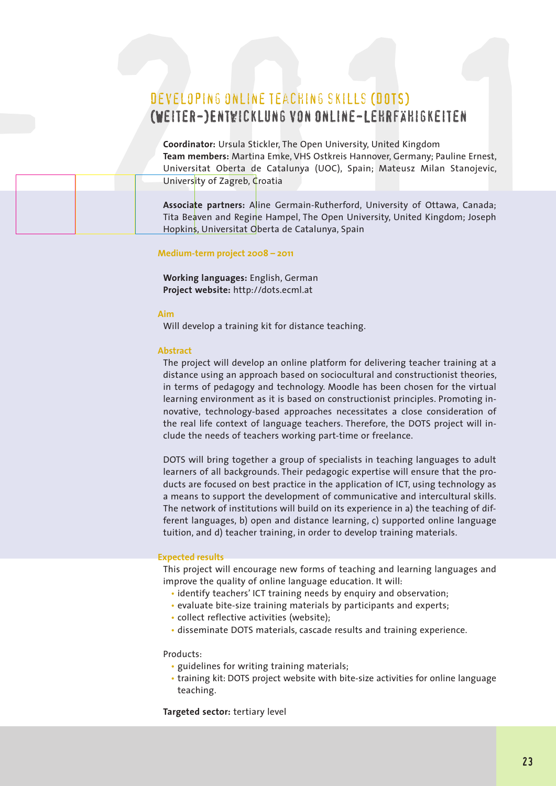#### DEVELOPING ONLINE TEACHING SKILLS (DOTS) (Weiter-)Entwicklung von Online-Lehrfähigkeiten

**DEVELOPING ONLINE TEACHING SKILLS (DOTS)**<br> **CONSIGENT CONSIGENT CONSIGERATION**<br> **CONSIGER-)ENTWICKLUNG VON ONLINE-LEHRFÄHIGKEITEN**<br>
Coordinator: Ursula Stickler, The Open University, United Kingdom<br>
Team mementers: Anatti **Coordinator:** Ursula Stickler, The Open University, United Kingdom **Team members:** Martina Emke, VHS Ostkreis Hannover, Germany; Pauline Ernest, Universitat Oberta de Catalunya (UOC), Spain; Mateusz Milan Stanojevic, University of Zagreb, Croatia

**Associate partners:** Aline Germain-Rutherford, University of Ottawa, Canada; Tita Beaven and Regine Hampel, The Open University, United Kingdom; Joseph Hopkins, Universitat Oberta de Catalunya, Spain

#### **Medium-term project 2008 – 2011**

**Working languages:** English, German **Project website:** http://dots.ecml.at

#### **Aim**

2008 -

Will develop a training kit for distance teaching.

#### **Abstract**

The project will develop an online platform for delivering teacher training at a distance using an approach based on sociocultural and constructionist theories, in terms of pedagogy and technology. Moodle has been chosen for the virtual learning environment as it is based on constructionist principles. Promoting innovative, technology-based approaches necessitates a close consideration of the real life context of language teachers. Therefore, the DOTS project will include the needs of teachers working part-time or freelance.

DOTS will bring together a group of specialists in teaching languages to adult learners of all backgrounds. Their pedagogic expertise will ensure that the products are focused on best practice in the application of ICT, using technology as a means to support the development of communicative and intercultural skills. The network of institutions will build on its experience in a) the teaching of different languages, b) open and distance learning, c) supported online language tuition, and d) teacher training, in order to develop training materials.

#### **Expected results**

This project will encourage new forms of teaching and learning languages and improve the quality of online language education. It will:

- identify teachers' ICT training needs by enquiry and observation;
- evaluate bite-size training materials by participants and experts;
- collect reflective activities (website);
- disseminate DOTS materials, cascade results and training experience.

#### Products:

- guidelines for writing training materials;
- training kit: DOTS project website with bite-size activities for online language teaching.

**Targeted sector:** tertiary level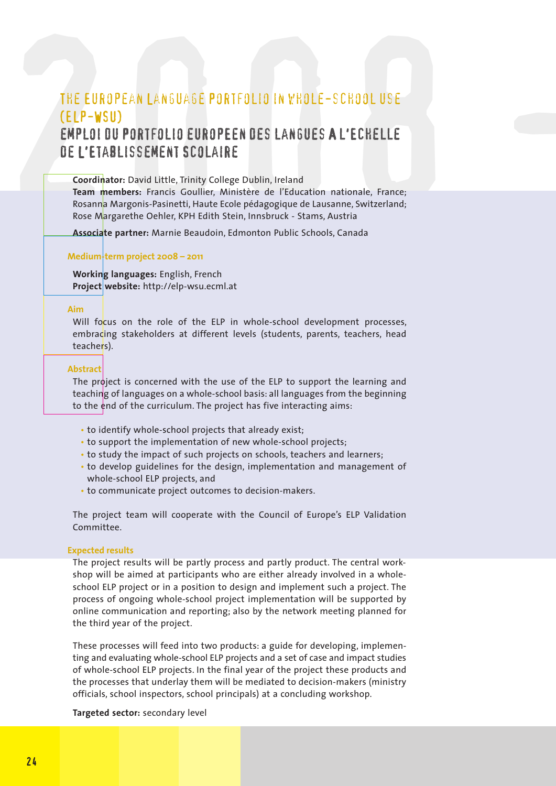# THE EUROPEAN LANSUAGE PORTFOLIO IN VHOLE-SCHOOL USE<br>
(ELP-WSU)<br>
EMPLOI OU PORTFOLIO EUROPEEN DES LANGUES A L'ECHELLE<br>
DE L'ETABLISSEMENT SCOLAIRE<br>
Coordinator: David Little, Trinity College Dublin, Ireland<br>
Team membriss: The European Language Portfolio in whole-school use (ELP-WSU) emploi du Portfolio europEen des langues A l'Echelle de L'Etablissement Scolaire

**Coordinator:** David Little, Trinity College Dublin, Ireland

**Team members:** Francis Goullier, Ministère de l'Education nationale, France; Rosanna Margonis-Pasinetti, Haute Ecole pédagogique de Lausanne, Switzerland; Rose Margarethe Oehler, KPH Edith Stein, Innsbruck - Stams, Austria

**Associate partner:** Marnie Beaudoin, Edmonton Public Schools, Canada

#### **Medium-term project 2008 – 2011**

**Working languages:** English, French **Project website:** http://elp-wsu.ecml.at

#### **Aim**

Will focus on the role of the ELP in whole-school development processes, embracing stakeholders at different levels (students, parents, teachers, head teachers).

#### **Abstract**

The project is concerned with the use of the ELP to support the learning and teaching of languages on a whole-school basis: all languages from the beginning to the end of the curriculum. The project has five interacting aims:

- to identify whole-school projects that already exist;
- to support the implementation of new whole-school projects;
- to study the impact of such projects on schools, teachers and learners;
- to develop guidelines for the design, implementation and management of whole-school ELP projects, and
- to communicate project outcomes to decision-makers.

The project team will cooperate with the Council of Europe's ELP Validation Committee.

#### **Expected results**

The project results will be partly process and partly product. The central workshop will be aimed at participants who are either already involved in a wholeschool ELP project or in a position to design and implement such a project. The process of ongoing whole-school project implementation will be supported by online communication and reporting; also by the network meeting planned for the third year of the project.

These processes will feed into two products: a guide for developing, implementing and evaluating whole-school ELP projects and a set of case and impact studies of whole-school ELP projects. In the final year of the project these products and the processes that underlay them will be mediated to decision-makers (ministry officials, school inspectors, school principals) at a concluding workshop.

#### **Targeted sector:** secondary level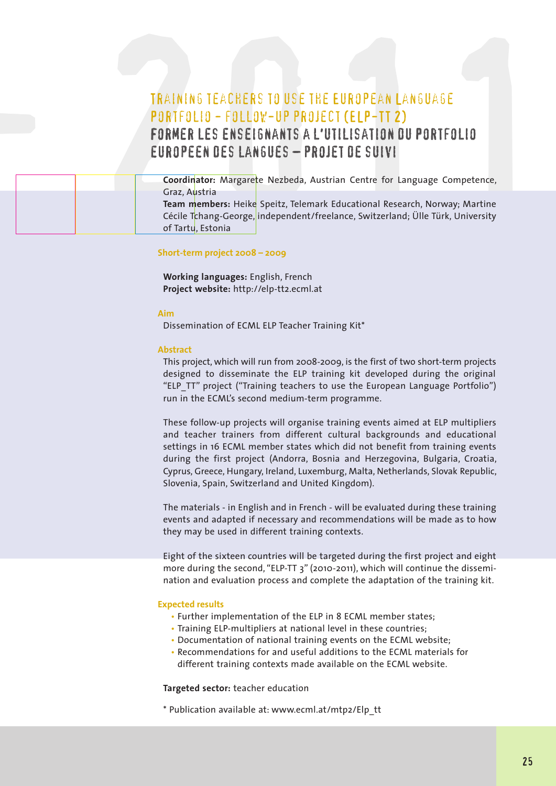# TRAINING TEACHERS TO USE THE EUROPEAN LANGUAGE<br>
PORTFOLIO – FOLLOV – UP PROJECT (ELP – TT 2)<br>
FORMER LES ENSEIGNANTS A L'UTILISATION OU PORTFOLIO<br>
EUROPEEN DES LANGUES – PROJET DE SUIVI<br>
Coordinator: Margarete Nezbeda, Aus Training teachers to use the European Language Portfolio - follow-up project(ELP-TT 2) Former les enseignants a l'utilisation du Portfolio europeen des langues – projet de suivi

| TRAINING TEACHERS TO USE THE EUROPEAN LANGUAGE<br>PORTFOLIO - FOLLOW-UP PROJECT (ELP-TT 2)                                                                                         |
|------------------------------------------------------------------------------------------------------------------------------------------------------------------------------------|
| <b>FORMER LES ENSEIGNANTS A L'UTILISATION DU PORTFOLIO</b><br>EUROPEEN DES LANGUES - PROJET DE SUIVI                                                                               |
| Coordinator: Margarete Nezbeda, Austrian Centre for Language Competence,<br>Graz, Austria                                                                                          |
| Team members: Heike Speitz, Telemark Educational Research, Norway; Martine<br>Cécile Tchang-George, independent/freelance, Switzerland; Ülle Türk, University<br>of Tartu, Estonia |

#### **Short-term project 2008 – 2009**

**Working languages:** English, French **Project website:** http://elp-tt2.ecml.at

#### **Aim**

Dissemination of ECML ELP Teacher Training Kit\*

#### **Abstract**

This project, which will run from 2008-2009, is the first of two short-term projects designed to disseminate the ELP training kit developed during the original "ELP\_TT" project ("Training teachers to use the European Language Portfolio") run in the ECML's second medium-term programme.

These follow-up projects will organise training events aimed at ELP multipliers and teacher trainers from different cultural backgrounds and educational settings in 16 ECML member states which did not benefit from training events during the first project (Andorra, Bosnia and Herzegovina, Bulgaria, Croatia, Cyprus, Greece, Hungary, Ireland, Luxemburg, Malta, Netherlands, Slovak Republic, Slovenia, Spain, Switzerland and United Kingdom).

The materials - in English and in French - will be evaluated during these training events and adapted if necessary and recommendations will be made as to how they may be used in different training contexts.

Eight of the sixteen countries will be targeted during the first project and eight more during the second, "ELP-TT 3" (2010-2011), which will continue the dissemination and evaluation process and complete the adaptation of the training kit.

#### **Expected results**

- Further implementation of the ELP in 8 ECML member states;
- Training ELP-multipliers at national level in these countries;
- Documentation of national training events on the ECML website;
- Recommendations for and useful additions to the ECML materials for different training contexts made available on the ECML website.

**Targeted sector:** teacher education

\* Publication available at: www.ecml.at/mtp2/Elp\_tt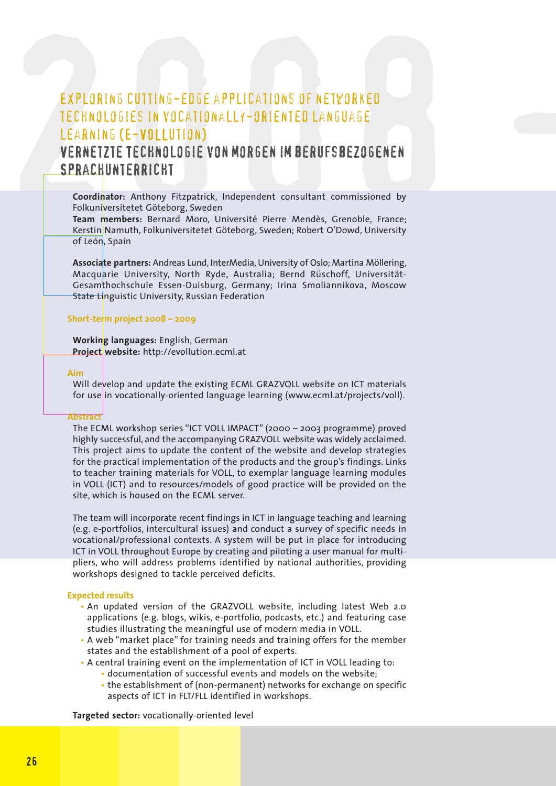# EXPLORING CUTTING-EDGE APPLICATIONS OF NETWORKED<br>TECHNOLOGIES IN VOCATIONALLY-ORIENTED LANGUAGE<br>LEARNING (E-VOLLUTION)<br>VERNETZTE TECHNOLOGIE VON MORGEN IM BERUFSBEZOGENEN<br>SPRACHUNTERRICHT<br>Coordinator: Anthony Fitzpatrick, Exploring cutting-edge applications of networked technologies in vocationally-oriented language learning (E-VOLLution)

#### Vernetzte Technologie von morgen im berufsbezogenen Sprachunterricht

**Coordinator:** Anthony Fitzpatrick, Independent consultant commissioned by Folkuniversitetet Göteborg, Sweden

**Team members:** Bernard Moro, Université Pierre Mendès, Grenoble, France; Kerstin Namuth, Folkuniversitetet Göteborg, Sweden; Robert O'Dowd, University of León, Spain

**Associate partners:** Andreas Lund, InterMedia,University of Oslo; Martina Möllering, Macquarie University, North Ryde, Australia; Bernd Rüschoff, Universität-Gesamthochschule Essen-Duisburg, Germany; Irina Smoliannikova, Moscow State Linguistic University, Russian Federation

#### **Short-term project 2008 – 2009**

**Working languages:** English, German **Project website:** http://evollution.ecml.at

#### **Aim**

Will develop and update the existing ECML GRAZVOLL website on ICT materials for use in vocationally-oriented language learning (www.ecml.at/projects/voll).

#### **Abstract**

The ECML workshop series "ICT VOLL IMPACT" (2000 – 2003 programme) proved highly successful, and the accompanying GRAZVOLL website was widely acclaimed. This project aims to update the content of the website and develop strategies for the practical implementation of the products and the group's findings. Links to teacher training materials for VOLL, to exemplar language learning modules in VOLL (ICT) and to resources/models of good practice will be provided on the site, which is housed on the ECML server.

The team will incorporate recent findings in ICT in language teaching and learning (e.g. e-portfolios, intercultural issues) and conduct a survey of specific needs in vocational/professional contexts. A system will be put in place for introducing ICT in VOLL throughout Europe by creating and piloting a user manual for multipliers, who will address problems identified by national authorities, providing workshops designed to tackle perceived deficits.

#### **Expected results**

- An updated version of the GRAZVOLL website, including latest Web 2.0 applications (e.g. blogs, wikis, e-portfolio, podcasts, etc.) and featuring case studies illustrating the meaningful use of modern media in VOLL.
- A web "market place" for training needs and training offers for the member states and the establishment of a pool of experts.
- A central training event on the implementation of ICT in VOLL leading to:
	- documentation of successful events and models on the website;
	- the establishment of (non-permanent) networks for exchange on specific aspects of ICT in FLT/FLL identified in workshops.

**Targeted sector:** vocationally-oriented level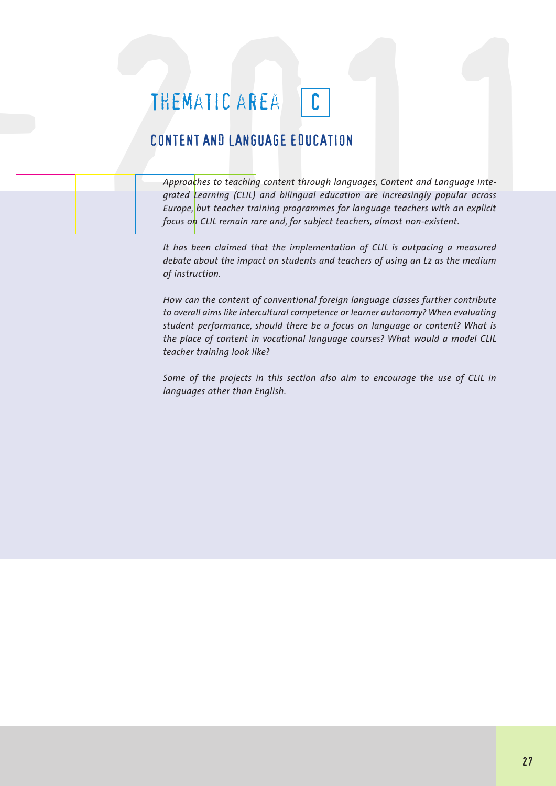### THEMATIC AREA C

#### CONTENT AND LANGUAGE EDUCATION

THEMATIC AREA<br>
CONTENT AND LANGUAGE EDUCATION<br>
Approaches to teaching content through languages, Content and Language Inte-<br>
Approaches to teaching (CILI) and bilingual education are increasingly popular across<br>
Furne but *Approaches to teaching content through languages, Content and Language Integrated Learning (CLIL) and bilingual education are increasingly popular across Europe, but teacher training programmes for language teachers with an explicit focus on CLIL remain rare and, for subject teachers, almost non-existent.* 2008 -

> *It has been claimed that the implementation of CLIL is outpacing a measured debate about the impact on students and teachers of using an L2 as the medium of instruction.*

> *How can the content of conventional foreign language classes further contribute to overall aims like intercultural competence or learner autonomy? When evaluating student performance, should there be a focus on language or content? What is the place of content in vocational language courses? What would a model CLIL teacher training look like?*

> *Some of the projects in this section also aim to encourage the use of CLIL in languages other than English.*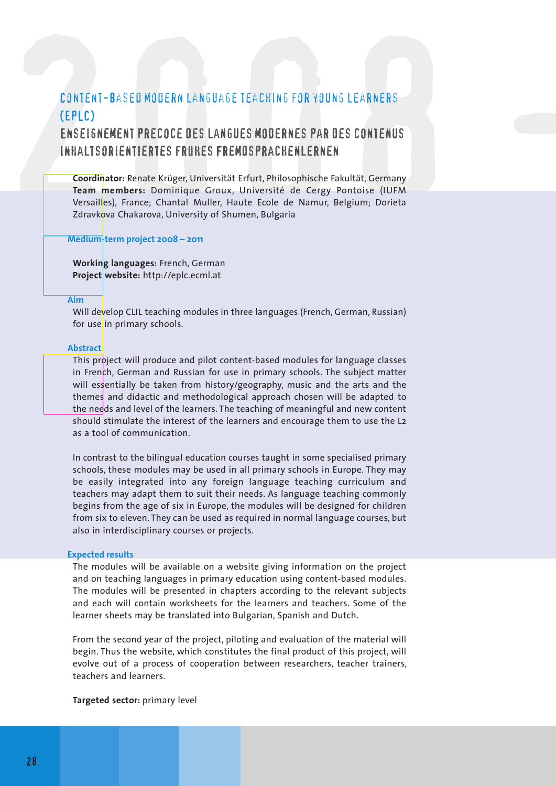# CONTENT-BASED MODERN LANGUAGE TEACHING FOR YOUNG LEARNERS<br>
(EPLC)<br>
ENSEIGNEMENT PRECOCE DES LANGUES MODERNES PAR DES CONTENUS<br>
INFALTSORIENTIERTES FRUKES FREMDSPRACHENLERNEN<br>
Coordinator: Renate Krüger, Universität Erfurt, Content-based modern language teaching for young learners (EPLC)

#### Enseignement precoce des langues modernes par des contenus Inhaltsorientiertes frühes Fremdsprachenlernen

**Coordinator:** Renate Krüger, Universität Erfurt, Philosophische Fakultät, Germany **Team members:** Dominique Groux, Université de Cergy Pontoise (IUFM Versailles), France; Chantal Muller, Haute Ecole de Namur, Belgium; Dorieta Zdravkova Chakarova, University of Shumen, Bulgaria

#### **Medium-term project 2008 – 2011**

**Working languages:** French, German **Project website:** http://eplc.ecml.at

#### **Aim**

Will develop CLIL teaching modules in three languages (French, German, Russian) for use in primary schools.

#### **Abstract**

This project will produce and pilot content-based modules for language classes in French, German and Russian for use in primary schools. The subject matter will essentially be taken from history/geography, music and the arts and the themes and didactic and methodological approach chosen will be adapted to the needs and level of the learners. The teaching of meaningful and new content should stimulate the interest of the learners and encourage them to use the L2 as a tool of communication.

In contrast to the bilingual education courses taught in some specialised primary schools, these modules may be used in all primary schools in Europe. They may be easily integrated into any foreign language teaching curriculum and teachers may adapt them to suit their needs. As language teaching commonly begins from the age of six in Europe, the modules will be designed for children from six to eleven. They can be used as required in normal language courses, but also in interdisciplinary courses or projects.

#### **Expected results**

The modules will be available on a website giving information on the project and on teaching languages in primary education using content-based modules. The modules will be presented in chapters according to the relevant subjects and each will contain worksheets for the learners and teachers. Some of the learner sheets may be translated into Bulgarian, Spanish and Dutch.

From the second year of the project, piloting and evaluation of the material will begin. Thus the website, which constitutes the final product of this project, will evolve out of a process of cooperation between researchers, teacher trainers, teachers and learners.

**Targeted sector:** primary level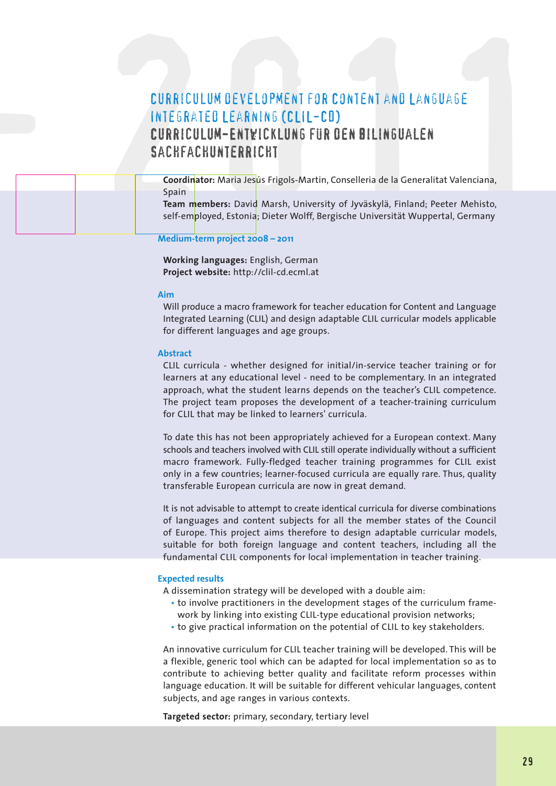# CURRICULUM DEVELOPMENT FOR CONTENT AND LANGUAGE<br>
INTEGRATED LEARNING (CLIL-CD)<br>
CURRICULUM-ENTWICKLUNG FUR DEN BILINGUALEN<br>
SACHFACHUNTERRICHT<br>
Coordinator: Maria Jesús Frigols-Martin, Conselleria de la Generalitat Valenci Curriculum development for Content and Language Integrated Learning (CLIL-CD) Curriculum-Entwicklung für den bilingualen Sachfachunterricht

| <b>CURRICULUM DEVELOPMENT FOR CONTENT AND LANGUAGE</b>                                                                                                                                                                                                        |
|---------------------------------------------------------------------------------------------------------------------------------------------------------------------------------------------------------------------------------------------------------------|
| INTEGRATED LEARNING (CLIL-CD)<br>CURRICULUM-ENTWICKLUNG FÜR DEN BILINGUALEN<br>SACHFACHUNTERRICHT                                                                                                                                                             |
| Coordinator: Maria Jesús Frigols-Martin, Conselleria de la Generalitat Valenciana,<br>Spain<br>Team members: David Marsh, University of Jyväskylä, Finland; Peeter Mehisto,<br>self-employed, Estonia; Dieter Wolff, Bergische Universität Wuppertal, Germany |

**Medium-term project 2008 – 2011**

**Working languages:** English, German **Project website:** http://clil-cd.ecml.at

#### **Aim**

Will produce a macro framework for teacher education for Content and Language Integrated Learning (CLIL) and design adaptable CLIL curricular models applicable for different languages and age groups.

#### **Abstract**

CLIL curricula - whether designed for initial/in-service teacher training or for learners at any educational level - need to be complementary. In an integrated approach, what the student learns depends on the teacher's CLIL competence. The project team proposes the development of a teacher-training curriculum for CLIL that may be linked to learners' curricula.

To date this has not been appropriately achieved for a European context. Many schools and teachers involved with CLIL still operate individually without a sufficient macro framework. Fully-fledged teacher training programmes for CLIL exist only in a few countries; learner-focused curricula are equally rare. Thus, quality transferable European curricula are now in great demand.

It is not advisable to attempt to create identical curricula for diverse combinations of languages and content subjects for all the member states of the Council of Europe. This project aims therefore to design adaptable curricular models, suitable for both foreign language and content teachers, including all the fundamental CLIL components for local implementation in teacher training.

#### **Expected results**

A dissemination strategy will be developed with a double aim:

- to involve practitioners in the development stages of the curriculum framework by linking into existing CLIL-type educational provision networks;
- to give practical information on the potential of CLIL to key stakeholders.

An innovative curriculum for CLIL teacher training will be developed. This will be a flexible, generic tool which can be adapted for local implementation so as to contribute to achieving better quality and facilitate reform processes within language education. It will be suitable for different vehicular languages, content subjects, and age ranges in various contexts.

**Targeted sector:** primary, secondary, tertiary level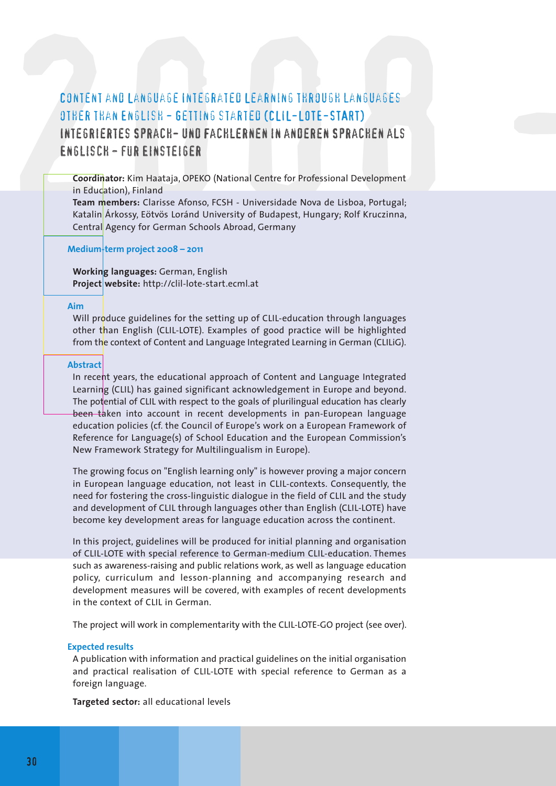# CONTENT AND LANGUAGE INTEGRATED LEARNING THROUGH LANGUAGES<br>
OTHER THAN ENGLISH – GETTING STARTED (CLIL–LOTE–START)<br>
INTEGRIERTES SPRACH– UND FACHLERNEN IN ANDEREN SPRACHEN ALS<br>
ENGLISCH – FUR EINSTEIGER<br>
Coordinator: Kim H Content and Language Integrated Learning through languages other than English - Getting started (CLIL-LOTE-START) Integriertes Sprach- und Fachlernen in anderen Sprachen als Englisch - für Einsteiger

**Coordinator:** Kim Haataja, OPEKO (National Centre for Professional Development in Education), Finland

**Team members:** Clarisse Afonso, FCSH - Universidade Nova de Lisboa, Portugal; Katalin Árkossy, Eötvös Loránd University of Budapest, Hungary; Rolf Kruczinna, Central Agency for German Schools Abroad, Germany

#### **Medium-term project 2008 – 2011**

**Working languages:** German, English **Project website:** http://clil-lote-start.ecml.at

#### **Aim**

Will produce guidelines for the setting up of CLIL-education through languages other than English (CLIL-LOTE). Examples of good practice will be highlighted from the context of Content and Language Integrated Learning in German (CLILiG).

#### **Abstract**

In recent years, the educational approach of Content and Language Integrated Learning (CLIL) has gained significant acknowledgement in Europe and beyond. The potential of CLIL with respect to the goals of plurilingual education has clearly been taken into account in recent developments in pan-European language education policies (cf. the Council of Europe's work on a European Framework of Reference for Language(s) of School Education and the European Commission's New Framework Strategy for Multilingualism in Europe).

The growing focus on "English learning only" is however proving a major concern in European language education, not least in CLIL-contexts. Consequently, the need for fostering the cross-linguistic dialogue in the field of CLIL and the study and development of CLIL through languages other than English (CLIL-LOTE) have become key development areas for language education across the continent.

In this project, guidelines will be produced for initial planning and organisation of CLIL-LOTE with special reference to German-medium CLIL-education. Themes such as awareness-raising and public relations work, as well as language education policy, curriculum and lesson-planning and accompanying research and development measures will be covered, with examples of recent developments in the context of CLIL in German.

The project will work in complementarity with the CLIL-LOTE-GO project (see over).

#### **Expected results**

A publication with information and practical guidelines on the initial organisation and practical realisation of CLIL-LOTE with special reference to German as a foreign language.

**Targeted sector:** all educational levels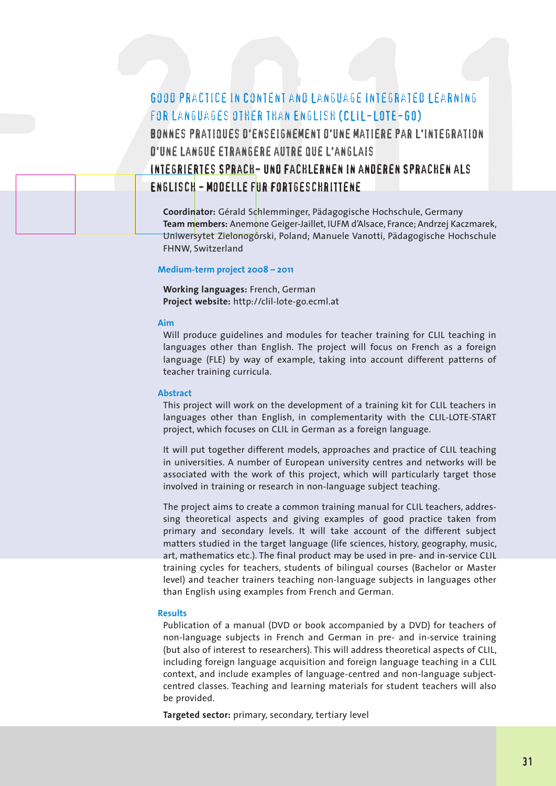### 6000 PRACTICE IN CONTENT AND LANGUAGE INTEGRATED LEARNING<br>FOR LANGUAGES OTHER THAN ENGLISH (CLIL-LOTE-GO)<br>BONNES PRATIQUES D'ENSEIGNEMENT D'UNE MATIERE PAR L'INTEGRATION<br>D'UNE LANGUE ETRANGERE AUTRE QUE L'ANGLAIS<br>INTEGRIER Good practice in Content and Language Integrated Learning for languages other than English (CLIL-LOTE-GO) Bonnes pratiques d'enseignement d'une matiere par l'integration d'une langue etrangere autre que l'anglais Integriertes Sprach- und Fachlernen in anderen Sprachen als Englisch - Modelle für Fortgeschrittene

**Coordinator:** Gérald Schlemminger, Pädagogische Hochschule, Germany **Team members:** Anemone Geiger-Jaillet, IUFM d'Alsace, France; Andrzej Kaczmarek, Uniwersytet Zielonogórski, Poland; Manuele Vanotti, Pädagogische Hochschule FHNW, Switzerland

#### **Medium-term project 2008 – 2011**

**Working languages:** French, German **Project website:** http://clil-lote-go.ecml.at

#### **Aim**

2008 -

Will produce guidelines and modules for teacher training for CLIL teaching in languages other than English. The project will focus on French as a foreign language (FLE) by way of example, taking into account different patterns of teacher training curricula.

#### **Abstract**

This project will work on the development of a training kit for CLIL teachers in languages other than English, in complementarity with the CLIL-LOTE-START project, which focuses on CLIL in German as a foreign language.

It will put together different models, approaches and practice of CLIL teaching in universities. A number of European university centres and networks will be associated with the work of this project, which will particularly target those involved in training or research in non-language subject teaching.

The project aims to create a common training manual for CLIL teachers, addressing theoretical aspects and giving examples of good practice taken from primary and secondary levels. It will take account of the different subject matters studied in the target language (life sciences, history, geography, music, art, mathematics etc.). The final product may be used in pre- and in-service CLIL training cycles for teachers, students of bilingual courses (Bachelor or Master level) and teacher trainers teaching non-language subjects in languages other than English using examples from French and German.

#### **Results**

Publication of a manual (DVD or book accompanied by a DVD) for teachers of non-language subjects in French and German in pre- and in-service training (but also of interest to researchers). This will address theoretical aspects of CLIL, including foreign language acquisition and foreign language teaching in a CLIL context, and include examples of language-centred and non-language subjectcentred classes. Teaching and learning materials for student teachers will also be provided.

**Targeted sector:** primary, secondary, tertiary level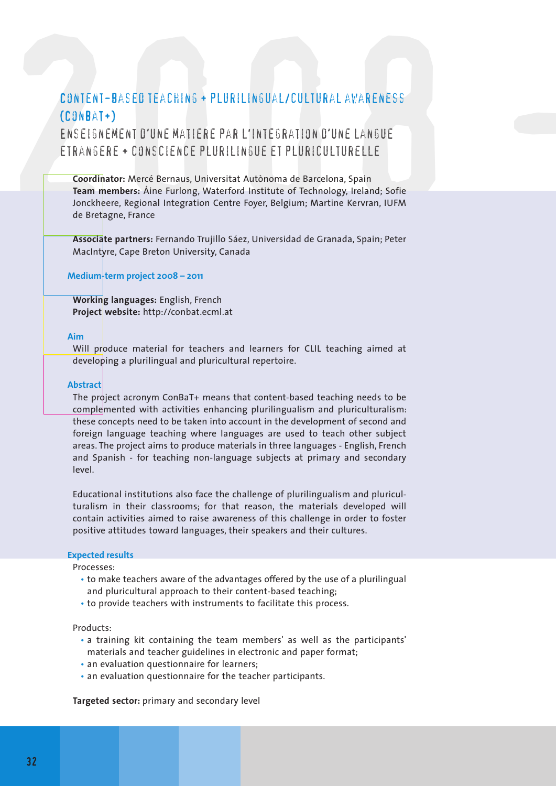#### Content-based teaching + plurilingual/cultural awareness (ConBaT+)

Enseignement d'une matiere par l'integration d'une langue etrangere + conscience plurilingue et pluriculturelle

CONTENT-BASED TEACHING + PLURILINGUAL/CULTURAL AVARENESS<br>
(CONBAT+)<br>
ENSEIGNEMENT D'UNE MATIERE PAR L'INTEGRATION D'UNE LANGUE<br>
ETRANGERE + CONSCIENCE PLURILINGUE ET PLURICULTURELLE<br>
Coordinator: Mercé Bernaus, Universitat **Coordinator:** Mercé Bernaus, Universitat Autònoma de Barcelona, Spain **Team members:** Áine Furlong, Waterford Institute of Technology, Ireland; Sofie Jonckheere, Regional Integration Centre Foyer, Belgium; Martine Kervran, IUFM de Bretagne, France

**Associate partners:** Fernando Trujillo Sáez, Universidad de Granada, Spain; Peter MacIntyre, Cape Breton University, Canada

**Medium-term project 2008 – 2011**

**Working languages:** English, French **Project website:** http://conbat.ecml.at

#### **Aim**

Will produce material for teachers and learners for CLIL teaching aimed at developing a plurilingual and pluricultural repertoire.

#### **Abstract**

The project acronym ConBaT+ means that content-based teaching needs to be complemented with activities enhancing plurilingualism and pluriculturalism: these concepts need to be taken into account in the development of second and foreign language teaching where languages are used to teach other subject areas. The project aims to produce materials in three languages - English, French and Spanish - for teaching non-language subjects at primary and secondary level.

Educational institutions also face the challenge of plurilingualism and pluriculturalism in their classrooms; for that reason, the materials developed will contain activities aimed to raise awareness of this challenge in order to foster positive attitudes toward languages, their speakers and their cultures.

#### **Expected results**

Processes:

- to make teachers aware of the advantages offered by the use of a plurilingual and pluricultural approach to their content-based teaching;
- to provide teachers with instruments to facilitate this process.

Products:

- a training kit containing the team members' as well as the participants' materials and teacher guidelines in electronic and paper format;
- an evaluation questionnaire for learners;
- an evaluation questionnaire for the teacher participants.

**Targeted sector:** primary and secondary level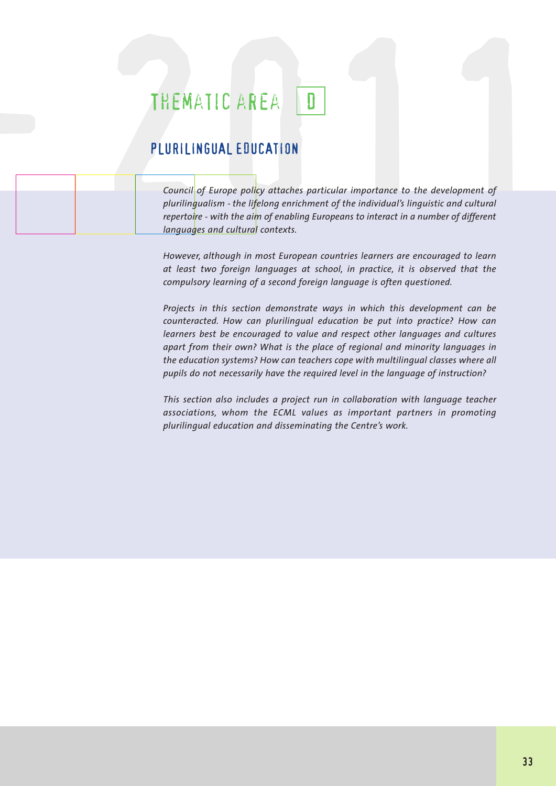### THEMATIC AREA D

#### PLURILINGUAL EDUCATION

2008 -

THEMATIC AREA<br>PLURILINGUAL EDUCATION<br>Council of Europe policy attaches particular importance to the development of<br>plurilingualism - the lifelong enrichment of the individual's linguistic and cultural *Council of Europe policy attaches particular importance to the development of plurilingualism - the lifelong enrichment of the individual's linguistic and cultural repertoire - with the aim of enabling Europeans to interact in a number of different languages and cultural contexts.*

> *However, although in most European countries learners are encouraged to learn at least two foreign languages at school, in practice, it is observed that the compulsory learning of a second foreign language is often questioned.*

> *Projects in this section demonstrate ways in which this development can be counteracted. How can plurilingual education be put into practice? How can learners best be encouraged to value and respect other languages and cultures apart from their own? What is the place of regional and minority languages in the education systems? How can teachers cope with multilingual classes where all pupils do not necessarily have the required level in the language of instruction?*

> *This section also includes a project run in collaboration with language teacher associations, whom the ECML values as important partners in promoting plurilingual education and disseminating the Centre's work.*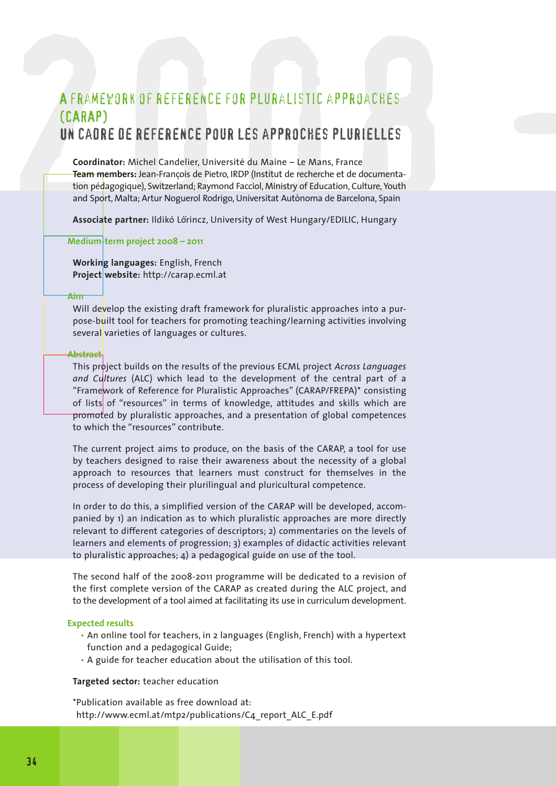# A FRAMEWORK OF REFERENCE FOR PLURALISTIC APPROACHES<br>
CCARAP)<br>
UN CAORE DE REFERENCE POUR LES APPROCHES PLURIELLES<br>
coordinator: Michel Candelier, Université du Maine – Le Mans, France<br>
coordinator: Michel Candelier, Univer A framework of reference for pluralistic approaches (CARAP) Un cadre de reference pour les approches plurielles

**Coordinator:** Michel Candelier, Université du Maine – Le Mans, France **Team members:** Jean-François de Pietro, IRDP (Institut de recherche et de documentation pédagogique), Switzerland; Raymond Facciol, Ministry of Education, Culture, Youth and Sport, Malta; Artur Noguerol Rodrigo, Universitat Autònoma de Barcelona, Spain

**Associate partner:** Ildikó Lőrincz, University of West Hungary/EDILIC, Hungary

**Medium-term project 2008 – 2011**

**Working languages:** English, French **Project website:** http://carap.ecml.at

#### **Aim**

Will develop the existing draft framework for pluralistic approaches into a purpose-built tool for teachers for promoting teaching/learning activities involving several varieties of languages or cultures.

#### **Abstract**

This project builds on the results of the previous ECML project *Across Languages and Cultures* (ALC) which lead to the development of the central part of a "Framework of Reference for Pluralistic Approaches" (CARAP/FREPA)\* consisting of lists of "resources" in terms of knowledge, attitudes and skills which are promoted by pluralistic approaches, and a presentation of global competences to which the "resources" contribute.

The current project aims to produce, on the basis of the CARAP, a tool for use by teachers designed to raise their awareness about the necessity of a global approach to resources that learners must construct for themselves in the process of developing their plurilingual and pluricultural competence.

In order to do this, a simplified version of the CARAP will be developed, accompanied by 1) an indication as to which pluralistic approaches are more directly relevant to different categories of descriptors; 2) commentaries on the levels of learners and elements of progression; 3) examples of didactic activities relevant to pluralistic approaches; 4) a pedagogical guide on use of the tool.

The second half of the 2008-2011 programme will be dedicated to a revision of the first complete version of the CARAP as created during the ALC project, and to the development of a tool aimed at facilitating its use in curriculum development.

#### **Expected results**

- An online tool for teachers, in 2 languages (English, French) with a hypertext function and a pedagogical Guide;
- A guide for teacher education about the utilisation of this tool.

#### **Targeted sector:** teacher education

\*Publication available as free download at: http://www.ecml.at/mtp2/publications/C4\_report\_ALC\_E.pdf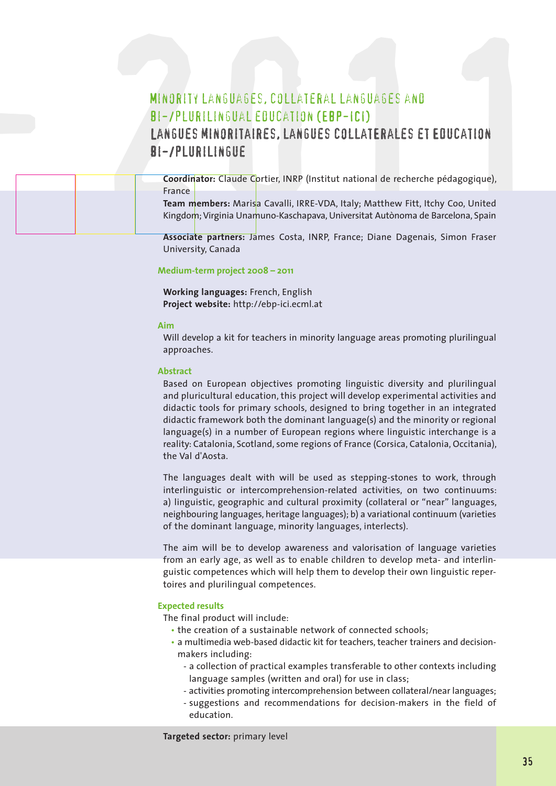# MINORITY LANGUAGES, COLLATERAL LANGUAGES AND<br>BI-/PLURILINGUAL EDUCATION (EBP-ICI)<br>LANGUES MINORITAIRES, LANGUES COLLATERALES ET EDUCATION<br>BI-/PLURILINGUE<br>Coordinator: Claude Cortier, INRP (Institut national de recherche pé Minority languages, collateral languages and bi-/plurilingual education (EBP-ICI) Langues minoritaires, langues collatErales et Education bi-/plurilingue

| MINORITY LANGUAGES, COLLATERAL LANGUAGES AND<br>BI-/PLURILINGUAL EOUCATION (EBP-ICI)<br>LANGUES MINORITAIRES, LANGUES COLLATERALES ET EDUCATION<br>BI-/PLURILINGUE                                                                                            |
|---------------------------------------------------------------------------------------------------------------------------------------------------------------------------------------------------------------------------------------------------------------|
| Coordinator: Claude Cortier, INRP (Institut national de recherche pédagogique),<br>France<br>Team members: Marisa Cavalli, IRRE-VDA, Italy; Matthew Fitt, Itchy Coo, United<br>Kingdom; Virginia Unamuno-Kaschapava, Universitat Autònoma de Barcelona, Spain |

**Associate partners:** James Costa, INRP, France; Diane Dagenais, Simon Fraser University, Canada

#### **Medium-term project 2008 – 2011**

**Working languages:** French, English **Project website:** http://ebp-ici.ecml.at

#### **Aim**

Will develop a kit for teachers in minority language areas promoting plurilingual approaches.

#### **Abstract**

Based on European objectives promoting linguistic diversity and plurilingual and pluricultural education, this project will develop experimental activities and didactic tools for primary schools, designed to bring together in an integrated didactic framework both the dominant language(s) and the minority or regional language(s) in a number of European regions where linguistic interchange is a reality: Catalonia, Scotland, some regions of France (Corsica, Catalonia, Occitania), the Val d'Aosta.

The languages dealt with will be used as stepping-stones to work, through interlinguistic or intercomprehension-related activities, on two continuums: a) linguistic, geographic and cultural proximity (collateral or "near" languages, neighbouring languages, heritage languages); b) a variational continuum (varieties of the dominant language, minority languages, interlects).

The aim will be to develop awareness and valorisation of language varieties from an early age, as well as to enable children to develop meta- and interlinguistic competences which will help them to develop their own linguistic repertoires and plurilingual competences.

#### **Expected results**

The final product will include:

- the creation of a sustainable network of connected schools;
- a multimedia web-based didactic kit for teachers, teacher trainers and decisionmakers including:
	- a collection of practical examples transferable to other contexts including language samples (written and oral) for use in class;
	- activities promoting intercomprehension between collateral/near languages;
	- suggestions and recommendations for decision-makers in the field of education.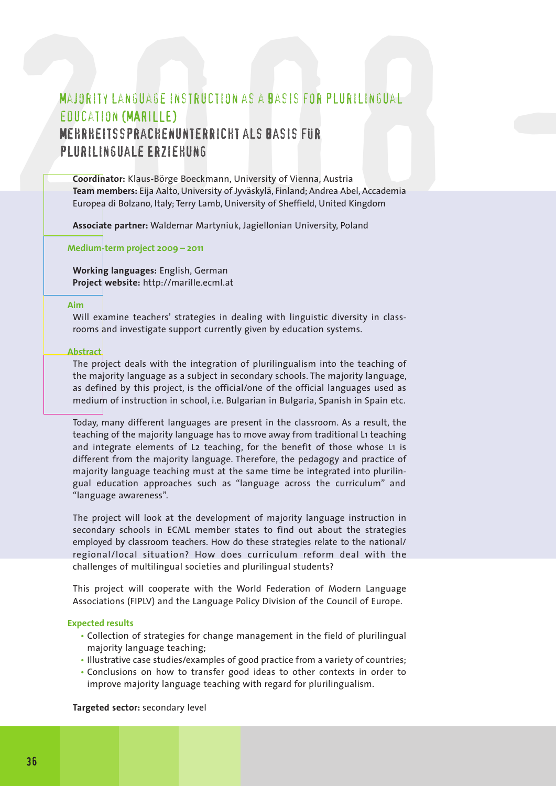# MAJORITY LANGUAGE INSTRUCTION AS A BASIS FOR PLURILINGUAL<br>
EOUCATION (MARILLE)<br>
MERRHEITSSPRACHENUNTERRICHT ALS BASIS FUR<br>
PLURILINGUALE ERZIEHUNG<br>
Coordinator: Klaus-Börge Boeckmann, University of Vienna, Austria<br>
Team me Majority language instruction as a basis for plurilingual education (MARILLE) Mehrheitssprachenunterricht als Basis für plurilinguale Erziehung

**Coordinator:** Klaus-Börge Boeckmann, University of Vienna, Austria **Team members:** Eija Aalto, University of Jyväskylä, Finland; Andrea Abel, Accademia Europea di Bolzano, Italy; Terry Lamb, University of Sheffield, United Kingdom

**Associate partner:** Waldemar Martyniuk, Jagiellonian University, Poland

**Medium-term project 2009 – 2011**

**Working languages:** English, German **Project website:** http://marille.ecml.at

#### **Aim**

Will examine teachers' strategies in dealing with linguistic diversity in classrooms and investigate support currently given by education systems.

#### **Abstract**

The project deals with the integration of plurilingualism into the teaching of the majority language as a subject in secondary schools. The majority language, as defined by this project, is the official/one of the official languages used as medium of instruction in school, i.e. Bulgarian in Bulgaria, Spanish in Spain etc.

Today, many different languages are present in the classroom. As a result, the teaching of the majority language has to move away from traditional L1 teaching and integrate elements of L2 teaching, for the benefit of those whose L1 is different from the majority language. Therefore, the pedagogy and practice of majority language teaching must at the same time be integrated into plurilingual education approaches such as "language across the curriculum" and "language awareness".

The project will look at the development of majority language instruction in secondary schools in ECML member states to find out about the strategies employed by classroom teachers. How do these strategies relate to the national/ regional/local situation? How does curriculum reform deal with the challenges of multilingual societies and plurilingual students?

This project will cooperate with the World Federation of Modern Language Associations (FIPLV) and the Language Policy Division of the Council of Europe.

#### **Expected results**

- Collection of strategies for change management in the field of plurilingual majority language teaching;
- Illustrative case studies/examples of good practice from a variety of countries;
- Conclusions on how to transfer good ideas to other contexts in order to improve majority language teaching with regard for plurilingualism.

**Targeted sector:** secondary level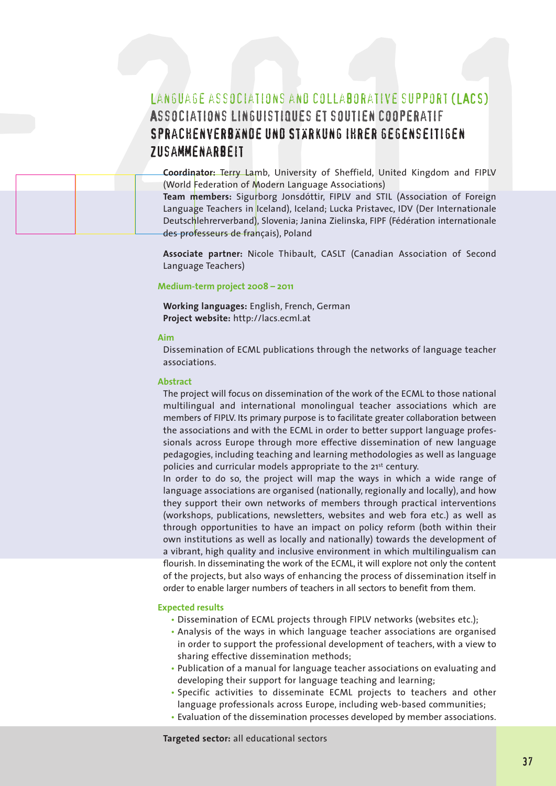# LANGUASE ASSOCIATIONS AND COLLABORATIVE SUPPORT (LACS)<br>ASSOCIATIONS LINGUISTIQUES ET SOUTIEN COOPERATIF<br>SPRACHENVERBANDE UND STARKUNG IHRER GEGENSEITIGEN<br>ZUSAMMENARBEIT<br>Coordinator: Terry Lamb, University of Sheffield, Uni LANGUAGE ASSOCIATIONS AND COLLABORATIVE SUPPORT (LACS) Associations linguistiques et soutien cooperatif Sprachenverbände und Stärkung ihrer gegenseitigen Zusammenarbeit

**Coordinator:** Terry Lamb, University of Sheffield, United Kingdom and FIPLV (World Federation of Modern Language Associations)

**Team members:** Sigurborg Jonsdóttir, FIPLV and STIL (Association of Foreign Language Teachers in Iceland), Iceland; Lucka Pristavec, IDV (Der Internationale Deutschlehrerverband), Slovenia; Janina Zielinska, FIPF (Fédération internationale des professeurs de français), Poland

**Associate partner:** Nicole Thibault, CASLT (Canadian Association of Second Language Teachers)

#### **Medium-term project 2008 – 2011**

**Working languages:** English, French, German **Project website:** http://lacs.ecml.at

#### **Aim**

2008 -

Dissemination of ECML publications through the networks of language teacher associations.

#### **Abstract**

The project will focus on dissemination of the work of the ECML to those national multilingual and international monolingual teacher associations which are members of FIPLV. Its primary purpose is to facilitate greater collaboration between the associations and with the ECML in order to better support language professionals across Europe through more effective dissemination of new language pedagogies, including teaching and learning methodologies as well as language policies and curricular models appropriate to the 21<sup>st</sup> century.

In order to do so, the project will map the ways in which a wide range of language associations are organised (nationally, regionally and locally), and how they support their own networks of members through practical interventions (workshops, publications, newsletters, websites and web fora etc.) as well as through opportunities to have an impact on policy reform (both within their own institutions as well as locally and nationally) towards the development of a vibrant, high quality and inclusive environment in which multilingualism can flourish. In disseminating the work of the ECML, it will explore not only the content of the projects, but also ways of enhancing the process of dissemination itself in order to enable larger numbers of teachers in all sectors to benefit from them.

#### **Expected results**

- Dissemination of ECML projects through FIPLV networks (websites etc.);
- Analysis of the ways in which language teacher associations are organised in order to support the professional development of teachers, with a view to sharing effective dissemination methods;
- Publication of a manual for language teacher associations on evaluating and developing their support for language teaching and learning;
- Specific activities to disseminate ECML projects to teachers and other language professionals across Europe, including web-based communities;
- Evaluation of the dissemination processes developed by member associations.

**Targeted sector:** all educational sectors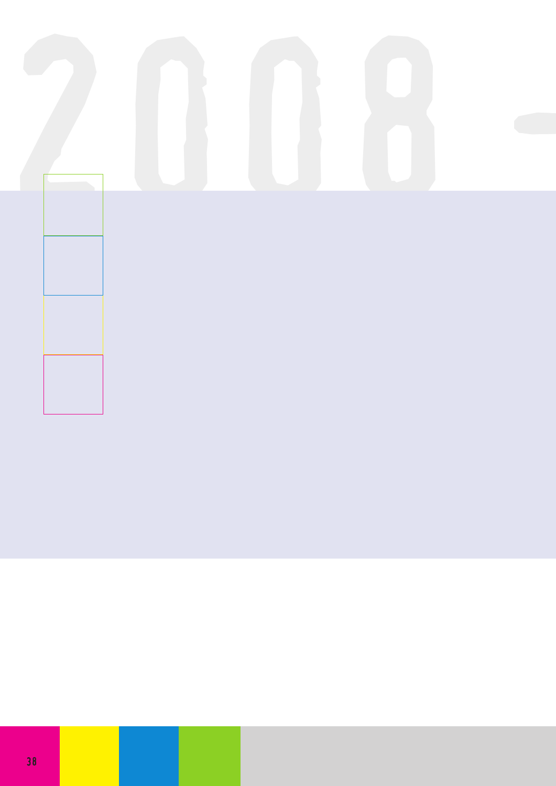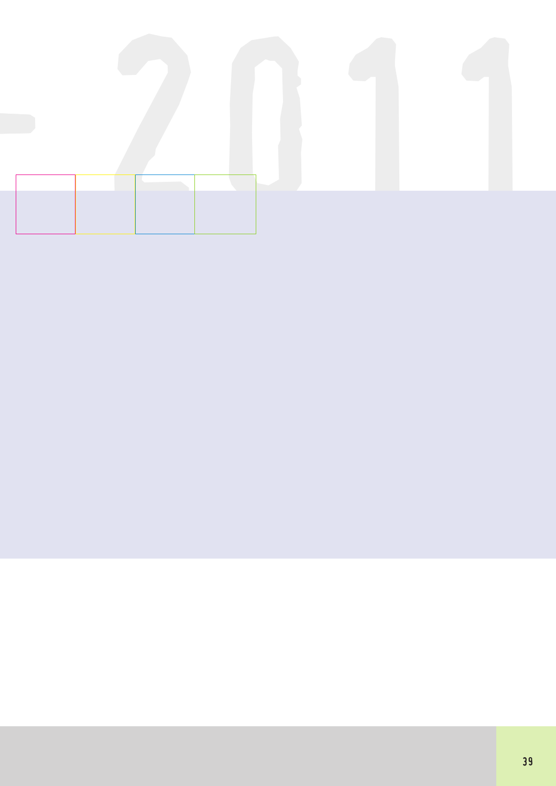